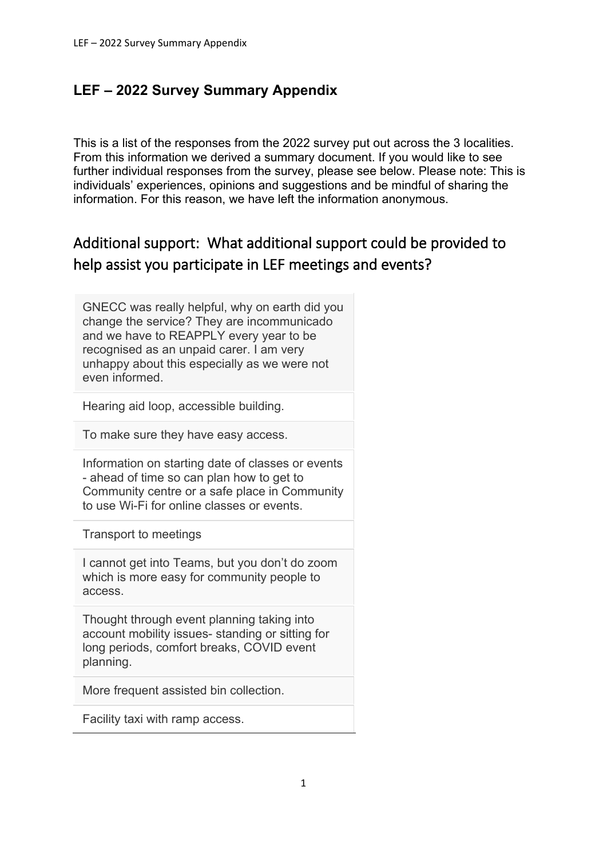# **LEF – 2022 Survey Summary Appendix**

This is a list of the responses from the 2022 survey put out across the 3 localities. From this information we derived a summary document. If you would like to see further individual responses from the survey, please see below. Please note: This is individuals' experiences, opinions and suggestions and be mindful of sharing the information. For this reason, we have left the information anonymous.

# Additional support: What additional support could be provided to help assist you participate in LEF meetings and events?

GNECC was really helpful, why on earth did you change the service? They are incommunicado and we have to REAPPLY every year to be recognised as an unpaid carer. I am very unhappy about this especially as we were not even informed.

Hearing aid loop, accessible building.

To make sure they have easy access.

Information on starting date of classes or events - ahead of time so can plan how to get to Community centre or a safe place in Community to use Wi-Fi for online classes or events.

Transport to meetings

I cannot get into Teams, but you don't do zoom which is more easy for community people to access.

Thought through event planning taking into account mobility issues- standing or sitting for long periods, comfort breaks, COVID event planning.

More frequent assisted bin collection.

Facility taxi with ramp access.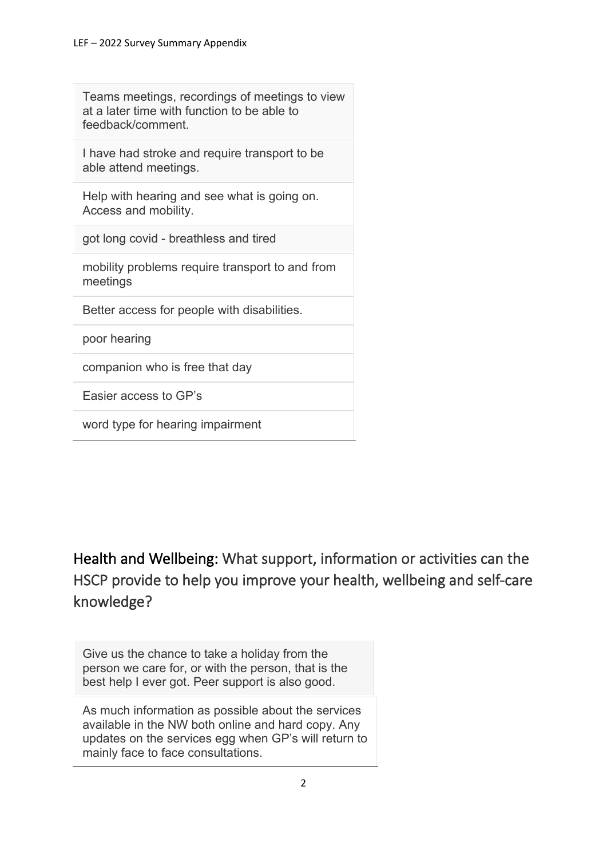Teams meetings, recordings of meetings to view at a later time with function to be able to feedback/comment.

I have had stroke and require transport to be able attend meetings.

Help with hearing and see what is going on. Access and mobility.

got long covid - breathless and tired

mobility problems require transport to and from meetings

Better access for people with disabilities.

poor hearing

companion who is free that day

Easier access to GP's

word type for hearing impairment

Health and Wellbeing: What support, information or activities can the HSCP provide to help you improve your health, wellbeing and self-care knowledge?

Give us the chance to take a holiday from the person we care for, or with the person, that is the best help I ever got. Peer support is also good.

As much information as possible about the services available in the NW both online and hard copy. Any updates on the services egg when GP's will return to mainly face to face consultations.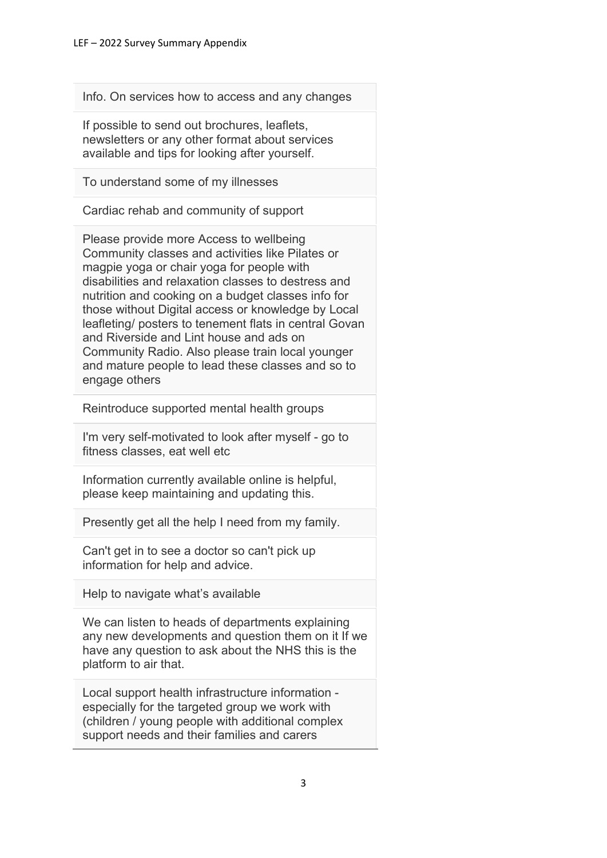Info. On services how to access and any changes

If possible to send out brochures, leaflets, newsletters or any other format about services available and tips for looking after yourself.

To understand some of my illnesses

Cardiac rehab and community of support

Please provide more Access to wellbeing Community classes and activities like Pilates or magpie yoga or chair yoga for people with disabilities and relaxation classes to destress and nutrition and cooking on a budget classes info for those without Digital access or knowledge by Local leafleting/ posters to tenement flats in central Govan and Riverside and Lint house and ads on Community Radio. Also please train local younger and mature people to lead these classes and so to engage others

Reintroduce supported mental health groups

I'm very self-motivated to look after myself - go to fitness classes, eat well etc

Information currently available online is helpful, please keep maintaining and updating this.

Presently get all the help I need from my family.

Can't get in to see a doctor so can't pick up information for help and advice.

Help to navigate what's available

We can listen to heads of departments explaining any new developments and question them on it If we have any question to ask about the NHS this is the platform to air that.

Local support health infrastructure information especially for the targeted group we work with (children / young people with additional complex support needs and their families and carers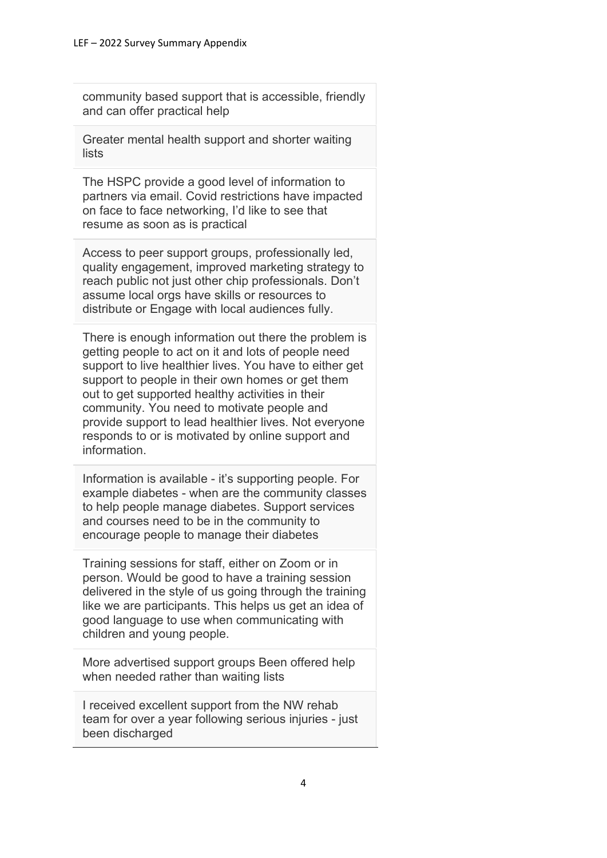community based support that is accessible, friendly and can offer practical help

Greater mental health support and shorter waiting lists

The HSPC provide a good level of information to partners via email. Covid restrictions have impacted on face to face networking, I'd like to see that resume as soon as is practical

Access to peer support groups, professionally led, quality engagement, improved marketing strategy to reach public not just other chip professionals. Don't assume local orgs have skills or resources to distribute or Engage with local audiences fully.

There is enough information out there the problem is getting people to act on it and lots of people need support to live healthier lives. You have to either get support to people in their own homes or get them out to get supported healthy activities in their community. You need to motivate people and provide support to lead healthier lives. Not everyone responds to or is motivated by online support and information.

Information is available - it's supporting people. For example diabetes - when are the community classes to help people manage diabetes. Support services and courses need to be in the community to encourage people to manage their diabetes

Training sessions for staff, either on Zoom or in person. Would be good to have a training session delivered in the style of us going through the training like we are participants. This helps us get an idea of good language to use when communicating with children and young people.

More advertised support groups Been offered help when needed rather than waiting lists

I received excellent support from the NW rehab team for over a year following serious injuries - just been discharged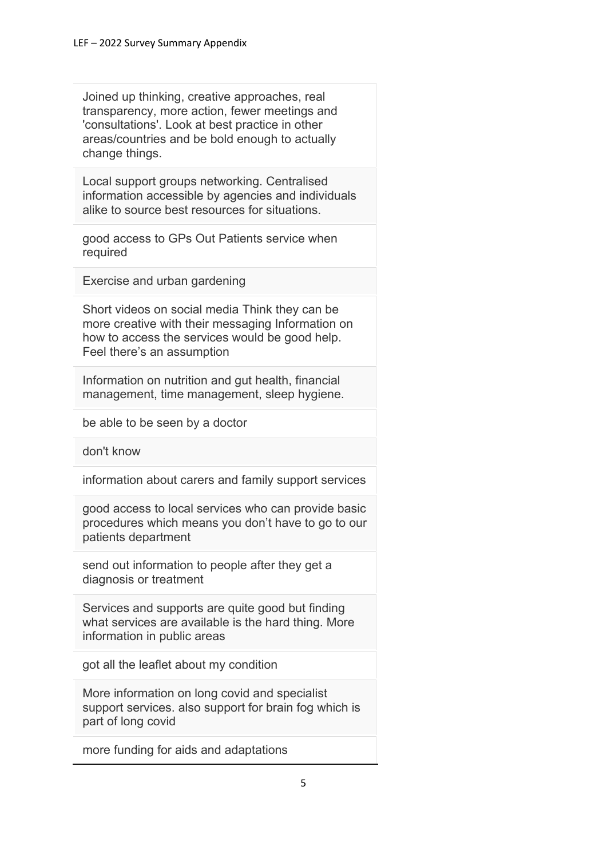Joined up thinking, creative approaches, real transparency, more action, fewer meetings and 'consultations'. Look at best practice in other areas/countries and be bold enough to actually change things.

Local support groups networking. Centralised information accessible by agencies and individuals alike to source best resources for situations.

good access to GPs Out Patients service when required

Exercise and urban gardening

Short videos on social media Think they can be more creative with their messaging Information on how to access the services would be good help. Feel there's an assumption

Information on nutrition and gut health, financial management, time management, sleep hygiene.

be able to be seen by a doctor

don't know

information about carers and family support services

good access to local services who can provide basic procedures which means you don't have to go to our patients department

send out information to people after they get a diagnosis or treatment

Services and supports are quite good but finding what services are available is the hard thing. More information in public areas

got all the leaflet about my condition

More information on long covid and specialist support services. also support for brain fog which is part of long covid

more funding for aids and adaptations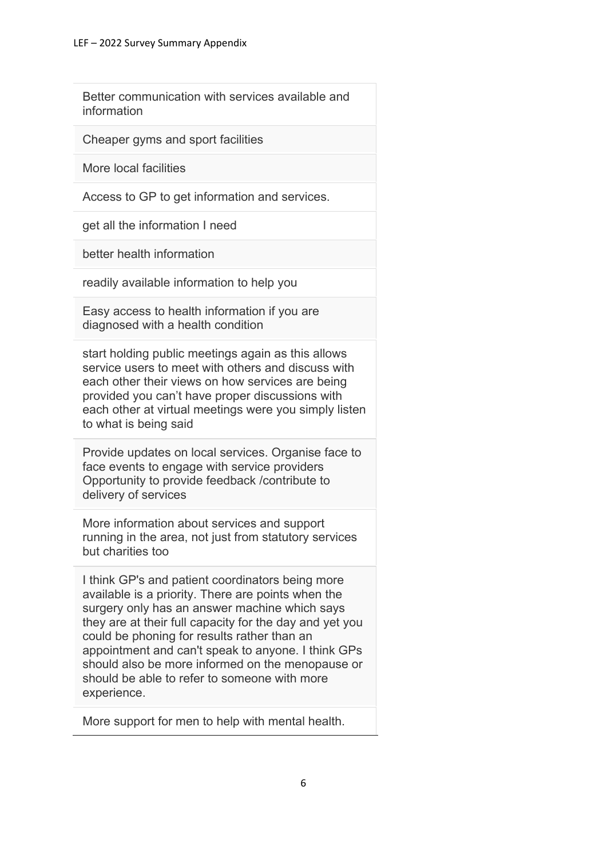Better communication with services available and information

Cheaper gyms and sport facilities

More local facilities

Access to GP to get information and services.

get all the information I need

better health information

readily available information to help you

Easy access to health information if you are diagnosed with a health condition

start holding public meetings again as this allows service users to meet with others and discuss with each other their views on how services are being provided you can't have proper discussions with each other at virtual meetings were you simply listen to what is being said

Provide updates on local services. Organise face to face events to engage with service providers Opportunity to provide feedback /contribute to delivery of services

More information about services and support running in the area, not just from statutory services but charities too

I think GP's and patient coordinators being more available is a priority. There are points when the surgery only has an answer machine which says they are at their full capacity for the day and yet you could be phoning for results rather than an appointment and can't speak to anyone. I think GPs should also be more informed on the menopause or should be able to refer to someone with more experience.

More support for men to help with mental health.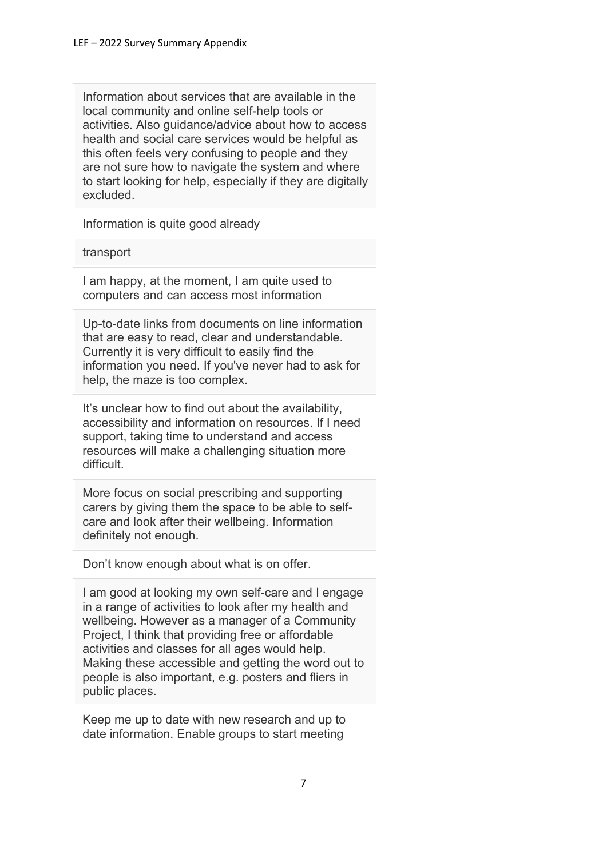Information about services that are available in the local community and online self-help tools or activities. Also guidance/advice about how to access health and social care services would be helpful as this often feels very confusing to people and they are not sure how to navigate the system and where to start looking for help, especially if they are digitally excluded.

Information is quite good already

#### transport

I am happy, at the moment, I am quite used to computers and can access most information

Up-to-date links from documents on line information that are easy to read, clear and understandable. Currently it is very difficult to easily find the information you need. If you've never had to ask for help, the maze is too complex.

It's unclear how to find out about the availability, accessibility and information on resources. If I need support, taking time to understand and access resources will make a challenging situation more difficult.

More focus on social prescribing and supporting carers by giving them the space to be able to selfcare and look after their wellbeing. Information definitely not enough.

Don't know enough about what is on offer.

I am good at looking my own self-care and I engage in a range of activities to look after my health and wellbeing. However as a manager of a Community Project, I think that providing free or affordable activities and classes for all ages would help. Making these accessible and getting the word out to people is also important, e.g. posters and fliers in public places.

Keep me up to date with new research and up to date information. Enable groups to start meeting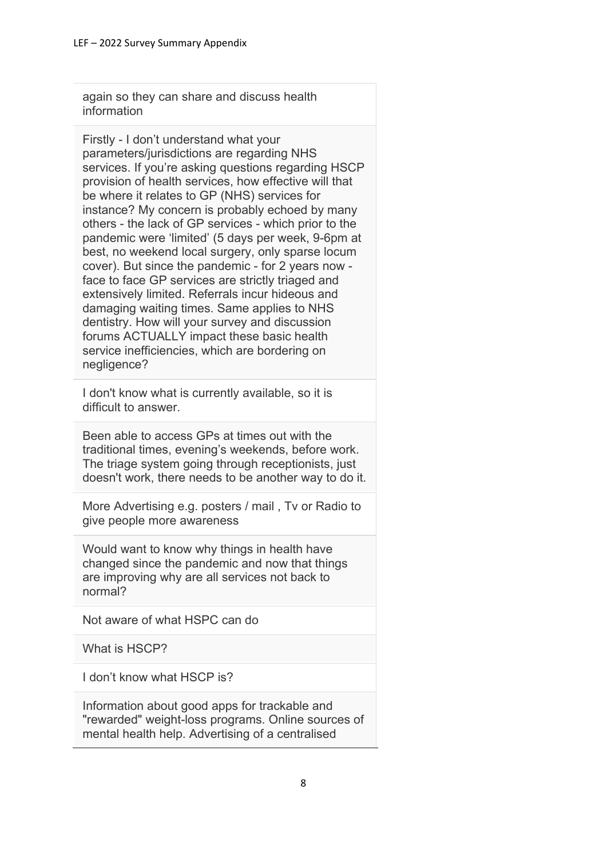again so they can share and discuss health information

Firstly - I don't understand what your parameters/jurisdictions are regarding NHS services. If you're asking questions regarding HSCP provision of health services, how effective will that be where it relates to GP (NHS) services for instance? My concern is probably echoed by many others - the lack of GP services - which prior to the pandemic were 'limited' (5 days per week, 9-6pm at best, no weekend local surgery, only sparse locum cover). But since the pandemic - for 2 years now face to face GP services are strictly triaged and extensively limited. Referrals incur hideous and damaging waiting times. Same applies to NHS dentistry. How will your survey and discussion forums ACTUALLY impact these basic health service inefficiencies, which are bordering on negligence?

I don't know what is currently available, so it is difficult to answer.

Been able to access GPs at times out with the traditional times, evening's weekends, before work. The triage system going through receptionists, just doesn't work, there needs to be another way to do it.

More Advertising e.g. posters / mail , Tv or Radio to give people more awareness

Would want to know why things in health have changed since the pandemic and now that things are improving why are all services not back to normal?

Not aware of what HSPC can do

What is HSCP?

I don't know what HSCP is?

Information about good apps for trackable and "rewarded" weight-loss programs. Online sources of mental health help. Advertising of a centralised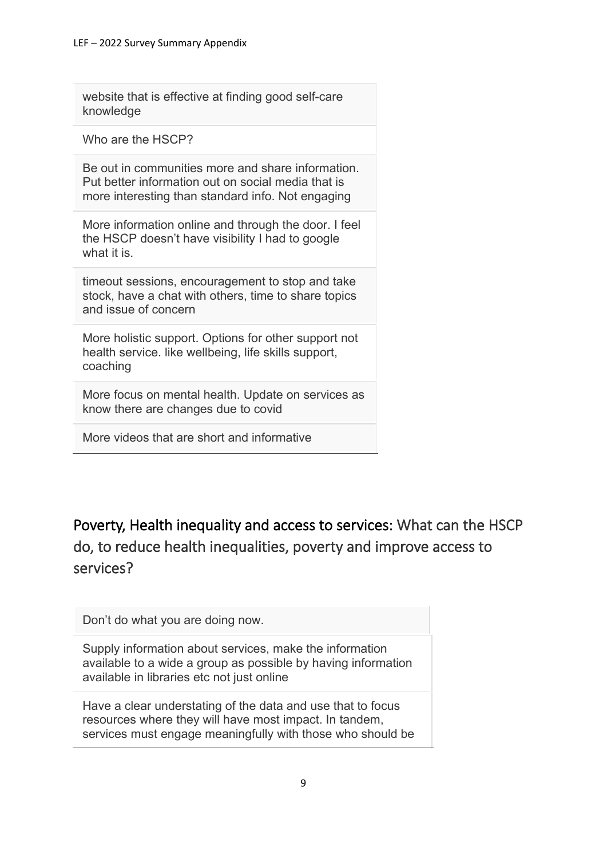website that is effective at finding good self-care knowledge

Who are the HSCP?

Be out in communities more and share information. Put better information out on social media that is more interesting than standard info. Not engaging

More information online and through the door. I feel the HSCP doesn't have visibility I had to google what it is.

timeout sessions, encouragement to stop and take stock, have a chat with others, time to share topics and issue of concern

More holistic support. Options for other support not health service. like wellbeing, life skills support, coaching

More focus on mental health. Update on services as know there are changes due to covid

More videos that are short and informative

Poverty, Health inequality and access to services: What can the HSCP do, to reduce health inequalities, poverty and improve access to services?

Don't do what you are doing now.

Supply information about services, make the information available to a wide a group as possible by having information available in libraries etc not just online

Have a clear understating of the data and use that to focus resources where they will have most impact. In tandem, services must engage meaningfully with those who should be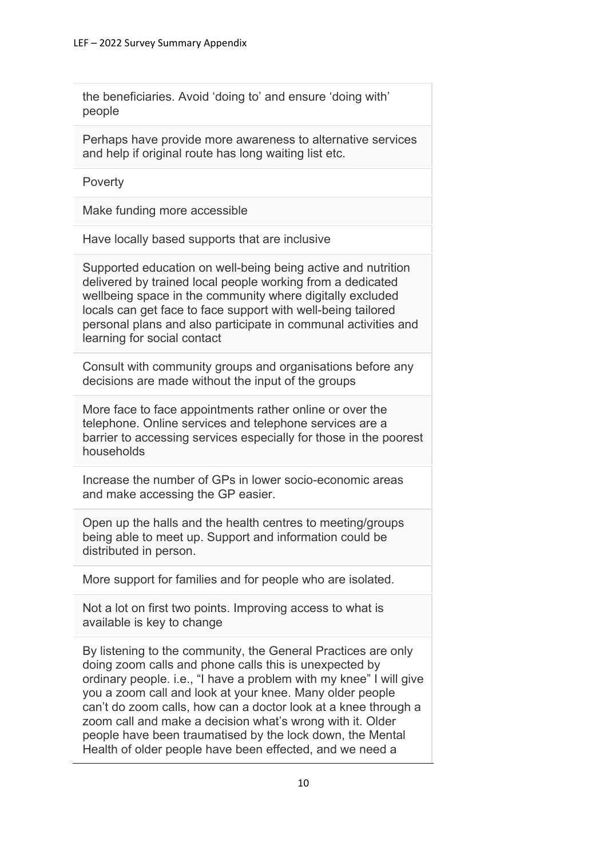the beneficiaries. Avoid 'doing to' and ensure 'doing with' people

Perhaps have provide more awareness to alternative services and help if original route has long waiting list etc.

**Poverty** 

Make funding more accessible

Have locally based supports that are inclusive

Supported education on well-being being active and nutrition delivered by trained local people working from a dedicated wellbeing space in the community where digitally excluded locals can get face to face support with well-being tailored personal plans and also participate in communal activities and learning for social contact

Consult with community groups and organisations before any decisions are made without the input of the groups

More face to face appointments rather online or over the telephone. Online services and telephone services are a barrier to accessing services especially for those in the poorest households

Increase the number of GPs in lower socio-economic areas and make accessing the GP easier.

Open up the halls and the health centres to meeting/groups being able to meet up. Support and information could be distributed in person.

More support for families and for people who are isolated.

Not a lot on first two points. Improving access to what is available is key to change

By listening to the community, the General Practices are only doing zoom calls and phone calls this is unexpected by ordinary people. i.e., "I have a problem with my knee" I will give you a zoom call and look at your knee. Many older people can't do zoom calls, how can a doctor look at a knee through a zoom call and make a decision what's wrong with it. Older people have been traumatised by the lock down, the Mental Health of older people have been effected, and we need a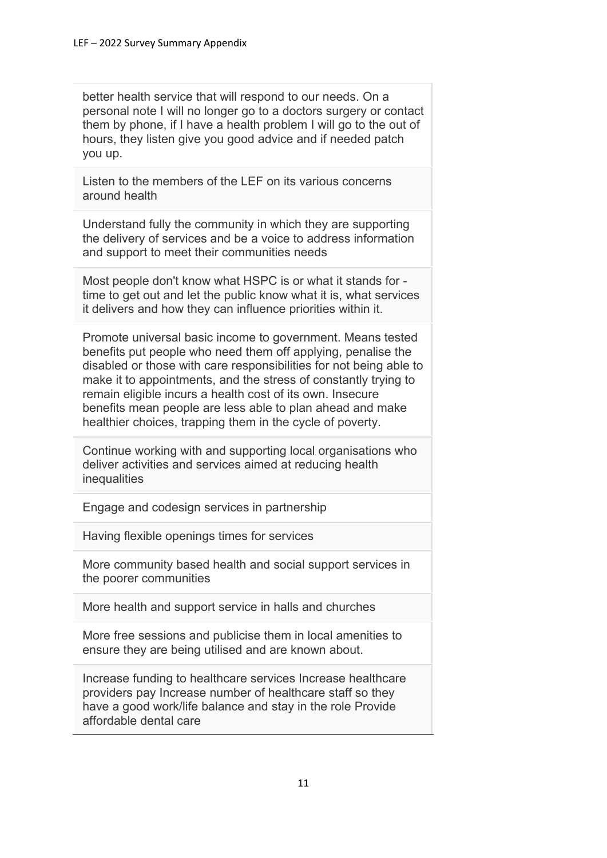better health service that will respond to our needs. On a personal note I will no longer go to a doctors surgery or contact them by phone, if I have a health problem I will go to the out of hours, they listen give you good advice and if needed patch you up.

Listen to the members of the LEF on its various concerns around health

Understand fully the community in which they are supporting the delivery of services and be a voice to address information and support to meet their communities needs

Most people don't know what HSPC is or what it stands for time to get out and let the public know what it is, what services it delivers and how they can influence priorities within it.

Promote universal basic income to government. Means tested benefits put people who need them off applying, penalise the disabled or those with care responsibilities for not being able to make it to appointments, and the stress of constantly trying to remain eligible incurs a health cost of its own. Insecure benefits mean people are less able to plan ahead and make healthier choices, trapping them in the cycle of poverty.

Continue working with and supporting local organisations who deliver activities and services aimed at reducing health inequalities

Engage and codesign services in partnership

Having flexible openings times for services

More community based health and social support services in the poorer communities

More health and support service in halls and churches

More free sessions and publicise them in local amenities to ensure they are being utilised and are known about.

Increase funding to healthcare services Increase healthcare providers pay Increase number of healthcare staff so they have a good work/life balance and stay in the role Provide affordable dental care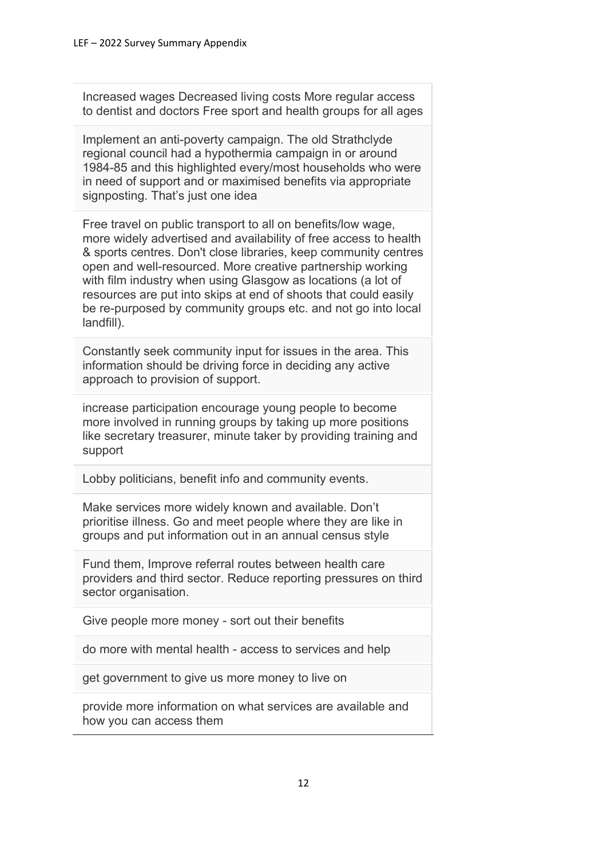Increased wages Decreased living costs More regular access to dentist and doctors Free sport and health groups for all ages

Implement an anti-poverty campaign. The old Strathclyde regional council had a hypothermia campaign in or around 1984-85 and this highlighted every/most households who were in need of support and or maximised benefits via appropriate signposting. That's just one idea

Free travel on public transport to all on benefits/low wage, more widely advertised and availability of free access to health & sports centres. Don't close libraries, keep community centres open and well-resourced. More creative partnership working with film industry when using Glasgow as locations (a lot of resources are put into skips at end of shoots that could easily be re-purposed by community groups etc. and not go into local landfill).

Constantly seek community input for issues in the area. This information should be driving force in deciding any active approach to provision of support.

increase participation encourage young people to become more involved in running groups by taking up more positions like secretary treasurer, minute taker by providing training and support

Lobby politicians, benefit info and community events.

Make services more widely known and available. Don't prioritise illness. Go and meet people where they are like in groups and put information out in an annual census style

Fund them, Improve referral routes between health care providers and third sector. Reduce reporting pressures on third sector organisation.

Give people more money - sort out their benefits

do more with mental health - access to services and help

get government to give us more money to live on

provide more information on what services are available and how you can access them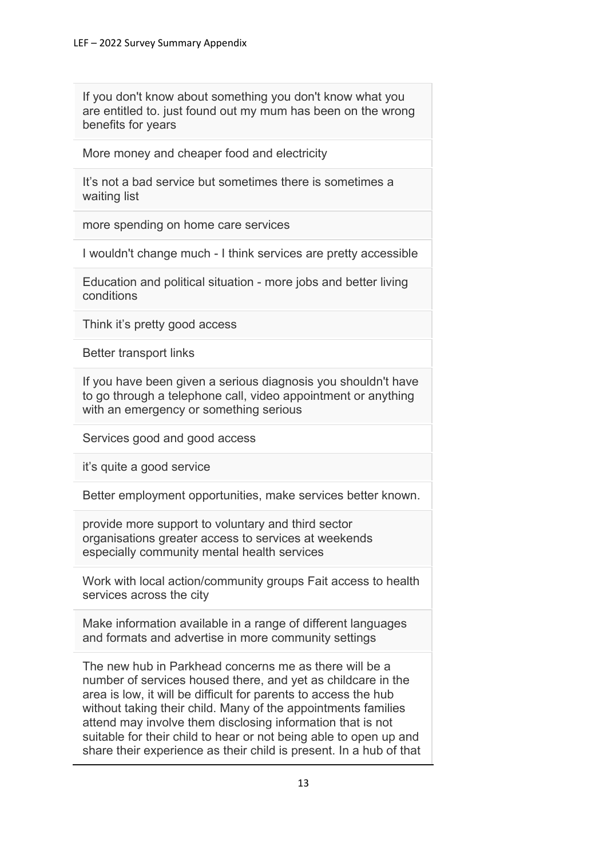If you don't know about something you don't know what you are entitled to. just found out my mum has been on the wrong benefits for years

More money and cheaper food and electricity

It's not a bad service but sometimes there is sometimes a waiting list

more spending on home care services

I wouldn't change much - I think services are pretty accessible

Education and political situation - more jobs and better living conditions

Think it's pretty good access

Better transport links

If you have been given a serious diagnosis you shouldn't have to go through a telephone call, video appointment or anything with an emergency or something serious

Services good and good access

it's quite a good service

Better employment opportunities, make services better known.

provide more support to voluntary and third sector organisations greater access to services at weekends especially community mental health services

Work with local action/community groups Fait access to health services across the city

Make information available in a range of different languages and formats and advertise in more community settings

The new hub in Parkhead concerns me as there will be a number of services housed there, and yet as childcare in the area is low, it will be difficult for parents to access the hub without taking their child. Many of the appointments families attend may involve them disclosing information that is not suitable for their child to hear or not being able to open up and share their experience as their child is present. In a hub of that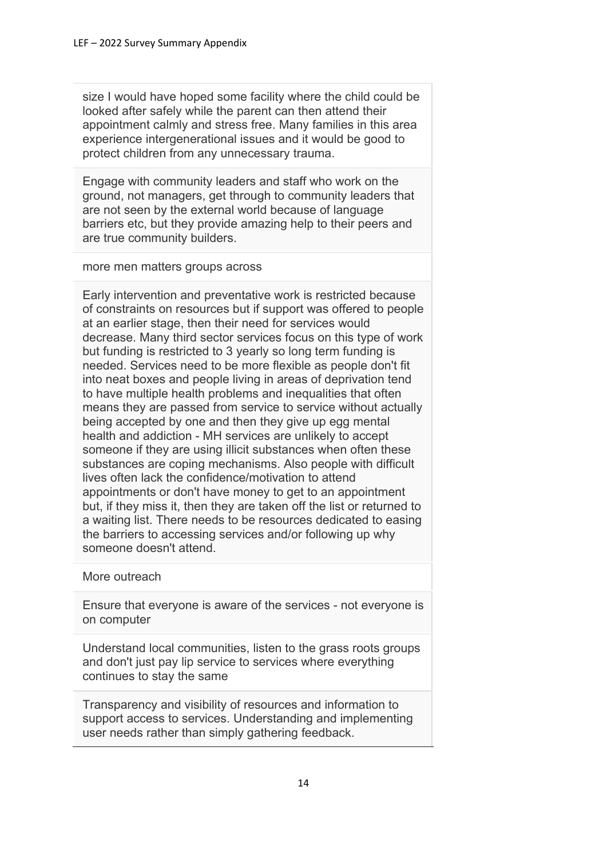size I would have hoped some facility where the child could be looked after safely while the parent can then attend their appointment calmly and stress free. Many families in this area experience intergenerational issues and it would be good to protect children from any unnecessary trauma.

Engage with community leaders and staff who work on the ground, not managers, get through to community leaders that are not seen by the external world because of language barriers etc, but they provide amazing help to their peers and are true community builders.

more men matters groups across

Early intervention and preventative work is restricted because of constraints on resources but if support was offered to people at an earlier stage, then their need for services would decrease. Many third sector services focus on this type of work but funding is restricted to 3 yearly so long term funding is needed. Services need to be more flexible as people don't fit into neat boxes and people living in areas of deprivation tend to have multiple health problems and inequalities that often means they are passed from service to service without actually being accepted by one and then they give up egg mental health and addiction - MH services are unlikely to accept someone if they are using illicit substances when often these substances are coping mechanisms. Also people with difficult lives often lack the confidence/motivation to attend appointments or don't have money to get to an appointment but, if they miss it, then they are taken off the list or returned to a waiting list. There needs to be resources dedicated to easing the barriers to accessing services and/or following up why someone doesn't attend.

More outreach

Ensure that everyone is aware of the services - not everyone is on computer

Understand local communities, listen to the grass roots groups and don't just pay lip service to services where everything continues to stay the same

Transparency and visibility of resources and information to support access to services. Understanding and implementing user needs rather than simply gathering feedback.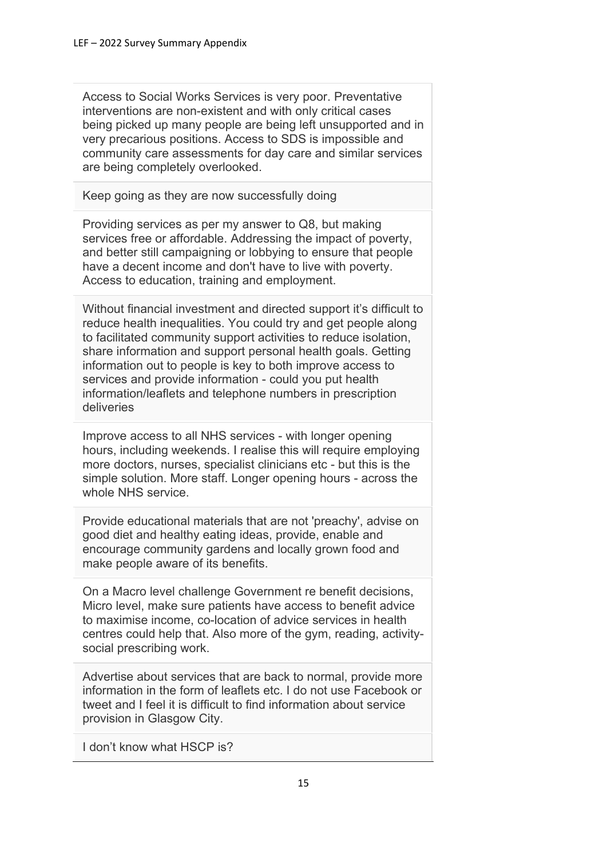Access to Social Works Services is very poor. Preventative interventions are non-existent and with only critical cases being picked up many people are being left unsupported and in very precarious positions. Access to SDS is impossible and community care assessments for day care and similar services are being completely overlooked.

Keep going as they are now successfully doing

Providing services as per my answer to Q8, but making services free or affordable. Addressing the impact of poverty, and better still campaigning or lobbying to ensure that people have a decent income and don't have to live with poverty. Access to education, training and employment.

Without financial investment and directed support it's difficult to reduce health inequalities. You could try and get people along to facilitated community support activities to reduce isolation, share information and support personal health goals. Getting information out to people is key to both improve access to services and provide information - could you put health information/leaflets and telephone numbers in prescription deliveries

Improve access to all NHS services - with longer opening hours, including weekends. I realise this will require employing more doctors, nurses, specialist clinicians etc - but this is the simple solution. More staff. Longer opening hours - across the whole NHS service.

Provide educational materials that are not 'preachy', advise on good diet and healthy eating ideas, provide, enable and encourage community gardens and locally grown food and make people aware of its benefits.

On a Macro level challenge Government re benefit decisions, Micro level, make sure patients have access to benefit advice to maximise income, co-location of advice services in health centres could help that. Also more of the gym, reading, activitysocial prescribing work.

Advertise about services that are back to normal, provide more information in the form of leaflets etc. I do not use Facebook or tweet and I feel it is difficult to find information about service provision in Glasgow City.

I don't know what HSCP is?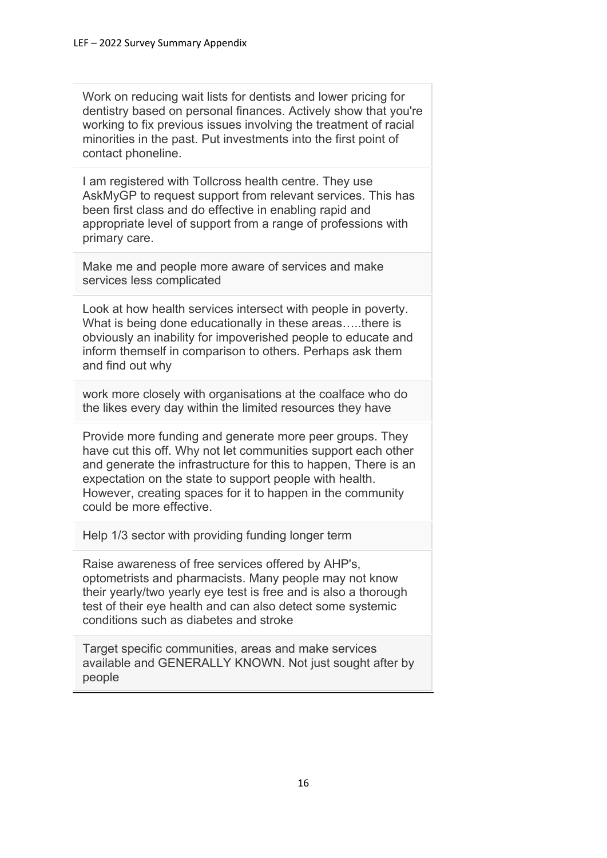Work on reducing wait lists for dentists and lower pricing for dentistry based on personal finances. Actively show that you're working to fix previous issues involving the treatment of racial minorities in the past. Put investments into the first point of contact phoneline.

I am registered with Tollcross health centre. They use AskMyGP to request support from relevant services. This has been first class and do effective in enabling rapid and appropriate level of support from a range of professions with primary care.

Make me and people more aware of services and make services less complicated

Look at how health services intersect with people in poverty. What is being done educationally in these areas…..there is obviously an inability for impoverished people to educate and inform themself in comparison to others. Perhaps ask them and find out why

work more closely with organisations at the coalface who do the likes every day within the limited resources they have

Provide more funding and generate more peer groups. They have cut this off. Why not let communities support each other and generate the infrastructure for this to happen, There is an expectation on the state to support people with health. However, creating spaces for it to happen in the community could be more effective.

Help 1/3 sector with providing funding longer term

Raise awareness of free services offered by AHP's, optometrists and pharmacists. Many people may not know their yearly/two yearly eye test is free and is also a thorough test of their eye health and can also detect some systemic conditions such as diabetes and stroke

Target specific communities, areas and make services available and GENERALLY KNOWN. Not just sought after by people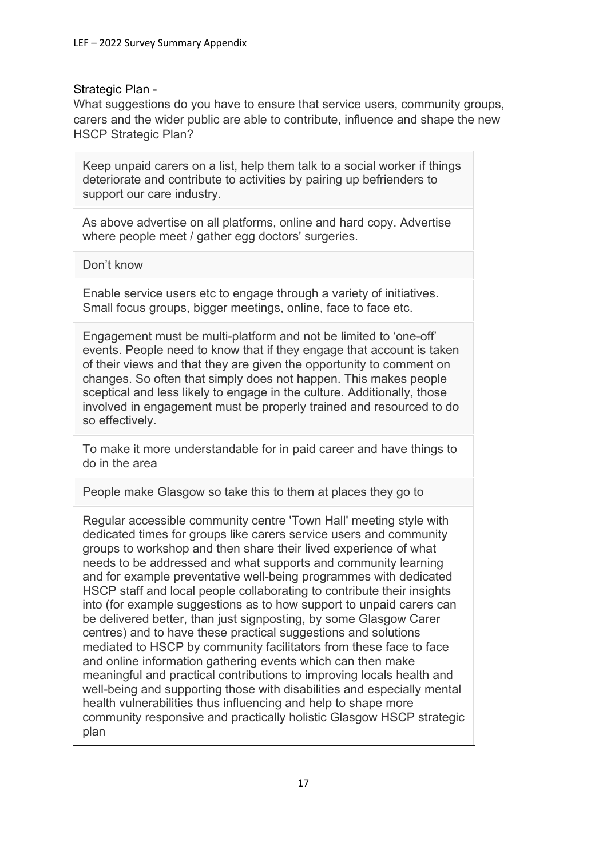#### Strategic Plan -

What suggestions do you have to ensure that service users, community groups, carers and the wider public are able to contribute, influence and shape the new HSCP Strategic Plan?

Keep unpaid carers on a list, help them talk to a social worker if things deteriorate and contribute to activities by pairing up befrienders to support our care industry.

As above advertise on all platforms, online and hard copy. Advertise where people meet / gather egg doctors' surgeries.

Don't know

Enable service users etc to engage through a variety of initiatives. Small focus groups, bigger meetings, online, face to face etc.

Engagement must be multi-platform and not be limited to 'one-off' events. People need to know that if they engage that account is taken of their views and that they are given the opportunity to comment on changes. So often that simply does not happen. This makes people sceptical and less likely to engage in the culture. Additionally, those involved in engagement must be properly trained and resourced to do so effectively.

To make it more understandable for in paid career and have things to do in the area

People make Glasgow so take this to them at places they go to

Regular accessible community centre 'Town Hall' meeting style with dedicated times for groups like carers service users and community groups to workshop and then share their lived experience of what needs to be addressed and what supports and community learning and for example preventative well-being programmes with dedicated HSCP staff and local people collaborating to contribute their insights into (for example suggestions as to how support to unpaid carers can be delivered better, than just signposting, by some Glasgow Carer centres) and to have these practical suggestions and solutions mediated to HSCP by community facilitators from these face to face and online information gathering events which can then make meaningful and practical contributions to improving locals health and well-being and supporting those with disabilities and especially mental health vulnerabilities thus influencing and help to shape more community responsive and practically holistic Glasgow HSCP strategic plan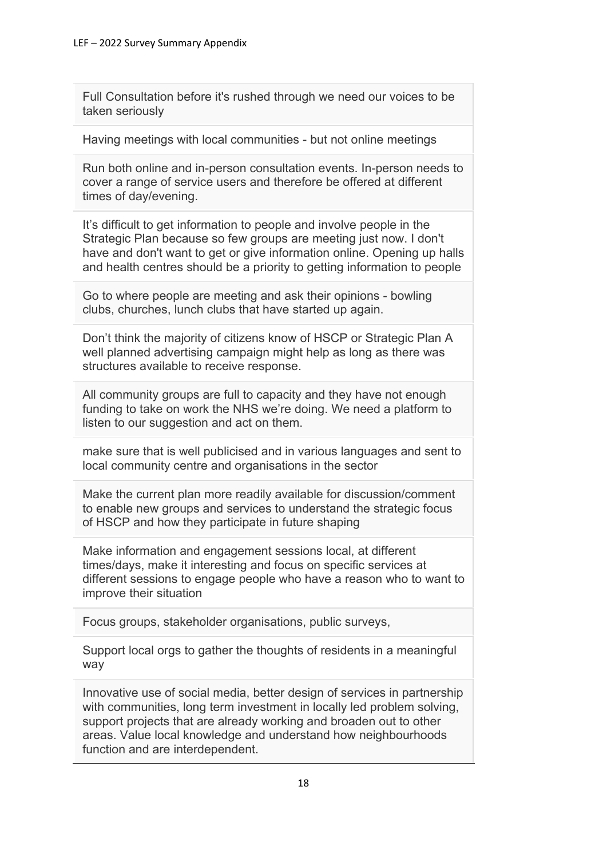Full Consultation before it's rushed through we need our voices to be taken seriously

Having meetings with local communities - but not online meetings

Run both online and in-person consultation events. In-person needs to cover a range of service users and therefore be offered at different times of day/evening.

It's difficult to get information to people and involve people in the Strategic Plan because so few groups are meeting just now. I don't have and don't want to get or give information online. Opening up halls and health centres should be a priority to getting information to people

Go to where people are meeting and ask their opinions - bowling clubs, churches, lunch clubs that have started up again.

Don't think the majority of citizens know of HSCP or Strategic Plan A well planned advertising campaign might help as long as there was structures available to receive response.

All community groups are full to capacity and they have not enough funding to take on work the NHS we're doing. We need a platform to listen to our suggestion and act on them.

make sure that is well publicised and in various languages and sent to local community centre and organisations in the sector

Make the current plan more readily available for discussion/comment to enable new groups and services to understand the strategic focus of HSCP and how they participate in future shaping

Make information and engagement sessions local, at different times/days, make it interesting and focus on specific services at different sessions to engage people who have a reason who to want to improve their situation

Focus groups, stakeholder organisations, public surveys,

Support local orgs to gather the thoughts of residents in a meaningful way

Innovative use of social media, better design of services in partnership with communities, long term investment in locally led problem solving, support projects that are already working and broaden out to other areas. Value local knowledge and understand how neighbourhoods function and are interdependent.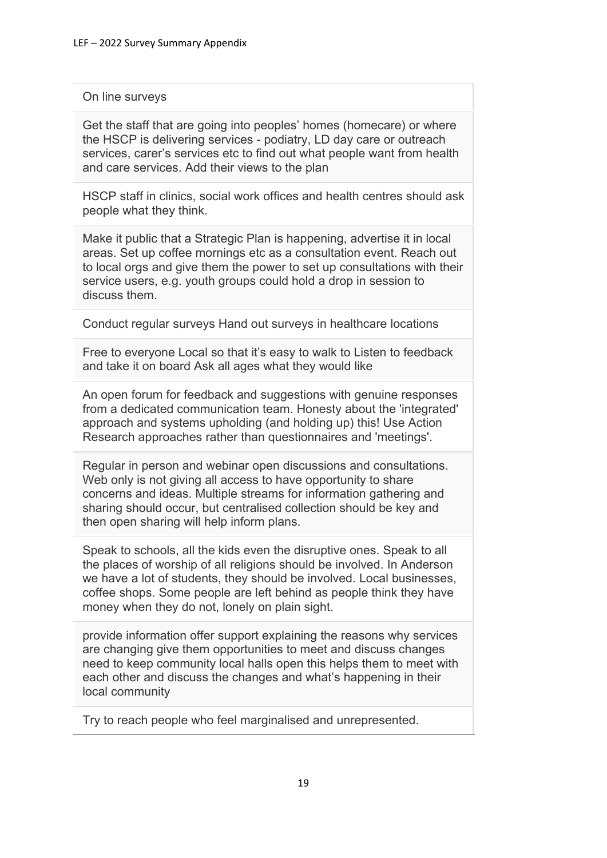### On line surveys

Get the staff that are going into peoples' homes (homecare) or where the HSCP is delivering services - podiatry, LD day care or outreach services, carer's services etc to find out what people want from health and care services. Add their views to the plan

HSCP staff in clinics, social work offices and health centres should ask people what they think.

Make it public that a Strategic Plan is happening, advertise it in local areas. Set up coffee mornings etc as a consultation event. Reach out to local orgs and give them the power to set up consultations with their service users, e.g. youth groups could hold a drop in session to discuss them.

Conduct regular surveys Hand out surveys in healthcare locations

Free to everyone Local so that it's easy to walk to Listen to feedback and take it on board Ask all ages what they would like

An open forum for feedback and suggestions with genuine responses from a dedicated communication team. Honesty about the 'integrated' approach and systems upholding (and holding up) this! Use Action Research approaches rather than questionnaires and 'meetings'.

Regular in person and webinar open discussions and consultations. Web only is not giving all access to have opportunity to share concerns and ideas. Multiple streams for information gathering and sharing should occur, but centralised collection should be key and then open sharing will help inform plans.

Speak to schools, all the kids even the disruptive ones. Speak to all the places of worship of all religions should be involved. In Anderson we have a lot of students, they should be involved. Local businesses, coffee shops. Some people are left behind as people think they have money when they do not, lonely on plain sight.

provide information offer support explaining the reasons why services are changing give them opportunities to meet and discuss changes need to keep community local halls open this helps them to meet with each other and discuss the changes and what's happening in their local community

Try to reach people who feel marginalised and unrepresented.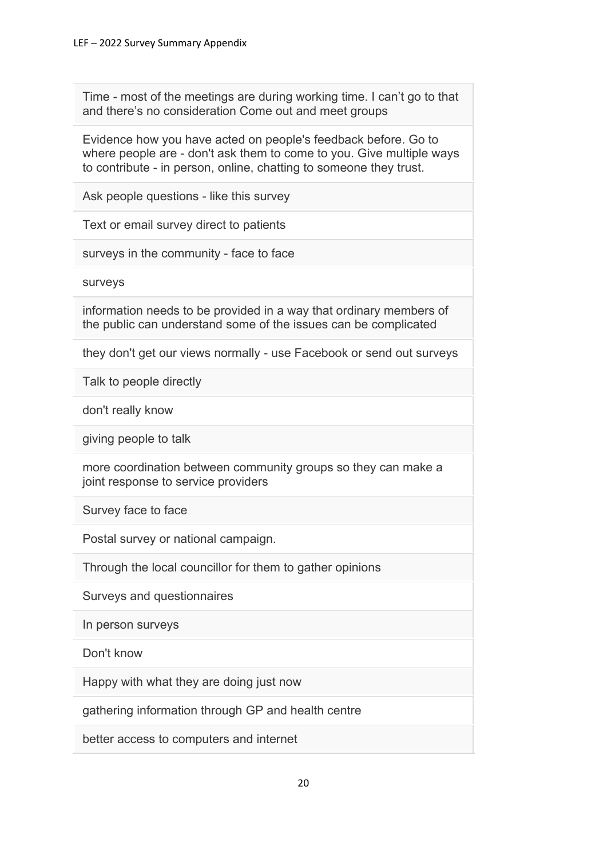Time - most of the meetings are during working time. I can't go to that and there's no consideration Come out and meet groups

Evidence how you have acted on people's feedback before. Go to where people are - don't ask them to come to you. Give multiple ways to contribute - in person, online, chatting to someone they trust.

Ask people questions - like this survey

Text or email survey direct to patients

surveys in the community - face to face

surveys

information needs to be provided in a way that ordinary members of the public can understand some of the issues can be complicated

they don't get our views normally - use Facebook or send out surveys

Talk to people directly

don't really know

giving people to talk

more coordination between community groups so they can make a joint response to service providers

Survey face to face

Postal survey or national campaign.

Through the local councillor for them to gather opinions

Surveys and questionnaires

In person surveys

Don't know

Happy with what they are doing just now

gathering information through GP and health centre

better access to computers and internet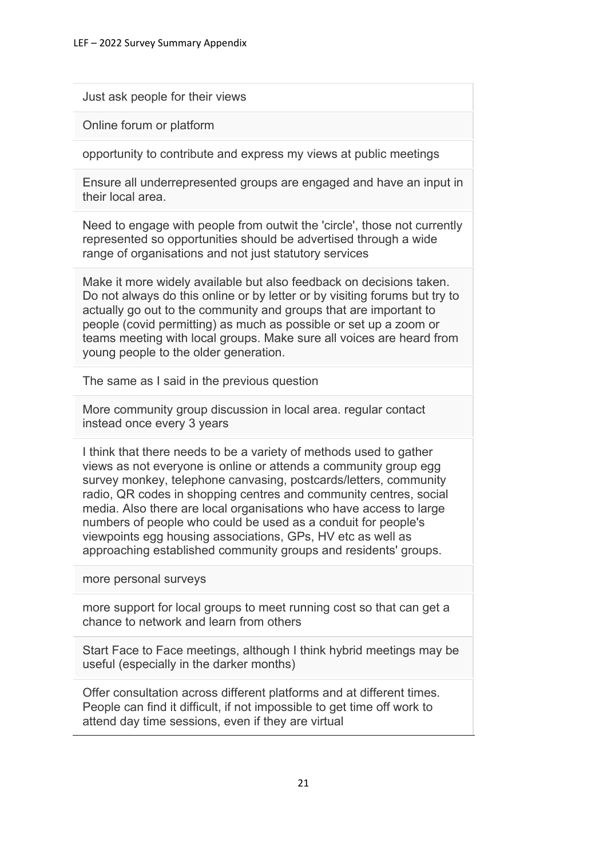Just ask people for their views

Online forum or platform

opportunity to contribute and express my views at public meetings

Ensure all underrepresented groups are engaged and have an input in their local area.

Need to engage with people from outwit the 'circle', those not currently represented so opportunities should be advertised through a wide range of organisations and not just statutory services

Make it more widely available but also feedback on decisions taken. Do not always do this online or by letter or by visiting forums but try to actually go out to the community and groups that are important to people (covid permitting) as much as possible or set up a zoom or teams meeting with local groups. Make sure all voices are heard from young people to the older generation.

The same as I said in the previous question

More community group discussion in local area. regular contact instead once every 3 years

I think that there needs to be a variety of methods used to gather views as not everyone is online or attends a community group egg survey monkey, telephone canvasing, postcards/letters, community radio, QR codes in shopping centres and community centres, social media. Also there are local organisations who have access to large numbers of people who could be used as a conduit for people's viewpoints egg housing associations, GPs, HV etc as well as approaching established community groups and residents' groups.

more personal surveys

more support for local groups to meet running cost so that can get a chance to network and learn from others

Start Face to Face meetings, although I think hybrid meetings may be useful (especially in the darker months)

Offer consultation across different platforms and at different times. People can find it difficult, if not impossible to get time off work to attend day time sessions, even if they are virtual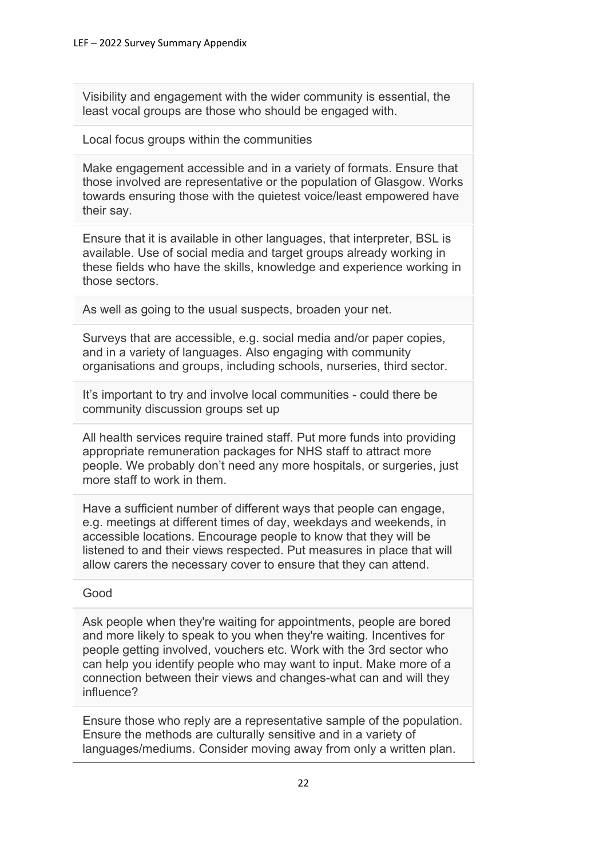Visibility and engagement with the wider community is essential, the least vocal groups are those who should be engaged with.

Local focus groups within the communities

Make engagement accessible and in a variety of formats. Ensure that those involved are representative or the population of Glasgow. Works towards ensuring those with the quietest voice/least empowered have their say.

Ensure that it is available in other languages, that interpreter, BSL is available. Use of social media and target groups already working in these fields who have the skills, knowledge and experience working in those sectors.

As well as going to the usual suspects, broaden your net.

Surveys that are accessible, e.g. social media and/or paper copies, and in a variety of languages. Also engaging with community organisations and groups, including schools, nurseries, third sector.

It's important to try and involve local communities - could there be community discussion groups set up

All health services require trained staff. Put more funds into providing appropriate remuneration packages for NHS staff to attract more people. We probably don't need any more hospitals, or surgeries, just more staff to work in them.

Have a sufficient number of different ways that people can engage. e.g. meetings at different times of day, weekdays and weekends, in accessible locations. Encourage people to know that they will be listened to and their views respected. Put measures in place that will allow carers the necessary cover to ensure that they can attend.

#### Good

Ask people when they're waiting for appointments, people are bored and more likely to speak to you when they're waiting. Incentives for people getting involved, vouchers etc. Work with the 3rd sector who can help you identify people who may want to input. Make more of a connection between their views and changes-what can and will they influence?

Ensure those who reply are a representative sample of the population. Ensure the methods are culturally sensitive and in a variety of languages/mediums. Consider moving away from only a written plan.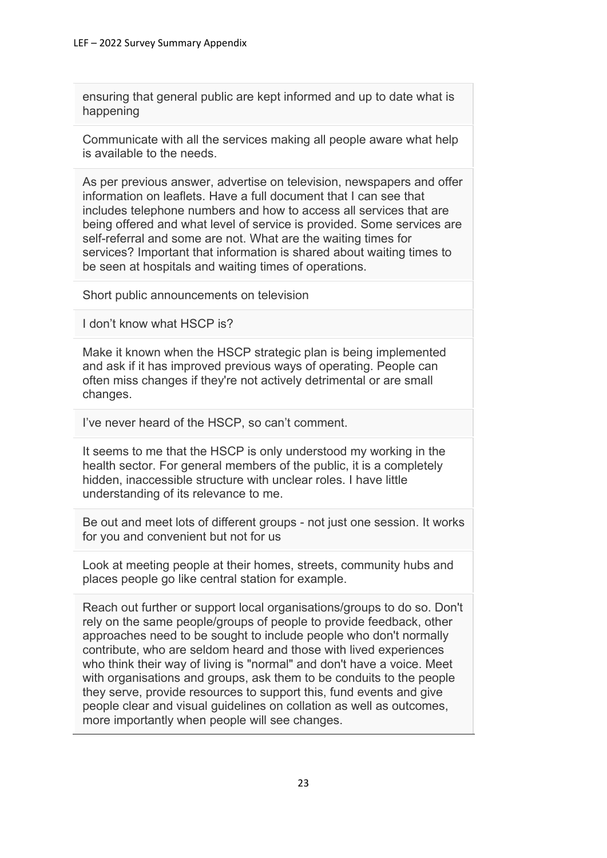ensuring that general public are kept informed and up to date what is happening

Communicate with all the services making all people aware what help is available to the needs.

As per previous answer, advertise on television, newspapers and offer information on leaflets. Have a full document that I can see that includes telephone numbers and how to access all services that are being offered and what level of service is provided. Some services are self-referral and some are not. What are the waiting times for services? Important that information is shared about waiting times to be seen at hospitals and waiting times of operations.

Short public announcements on television

I don't know what HSCP is?

Make it known when the HSCP strategic plan is being implemented and ask if it has improved previous ways of operating. People can often miss changes if they're not actively detrimental or are small changes.

I've never heard of the HSCP, so can't comment.

It seems to me that the HSCP is only understood my working in the health sector. For general members of the public, it is a completely hidden, inaccessible structure with unclear roles. I have little understanding of its relevance to me.

Be out and meet lots of different groups - not just one session. It works for you and convenient but not for us

Look at meeting people at their homes, streets, community hubs and places people go like central station for example.

Reach out further or support local organisations/groups to do so. Don't rely on the same people/groups of people to provide feedback, other approaches need to be sought to include people who don't normally contribute, who are seldom heard and those with lived experiences who think their way of living is "normal" and don't have a voice. Meet with organisations and groups, ask them to be conduits to the people they serve, provide resources to support this, fund events and give people clear and visual guidelines on collation as well as outcomes, more importantly when people will see changes.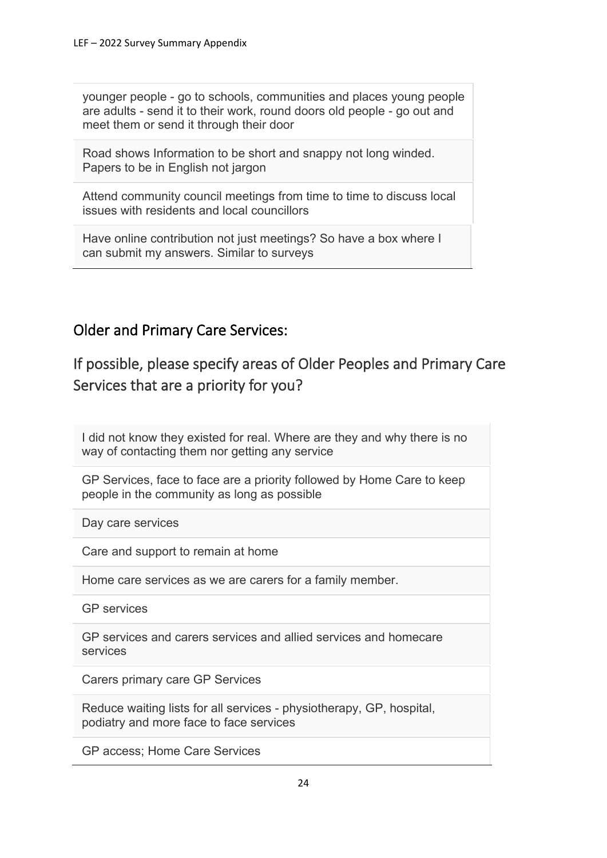younger people - go to schools, communities and places young people are adults - send it to their work, round doors old people - go out and meet them or send it through their door

Road shows Information to be short and snappy not long winded. Papers to be in English not jargon

Attend community council meetings from time to time to discuss local issues with residents and local councillors

Have online contribution not just meetings? So have a box where I can submit my answers. Similar to surveys

# Older and Primary Care Services:

# If possible, please specify areas of Older Peoples and Primary Care Services that are a priority for you?

I did not know they existed for real. Where are they and why there is no way of contacting them nor getting any service

GP Services, face to face are a priority followed by Home Care to keep people in the community as long as possible

Day care services

Care and support to remain at home

Home care services as we are carers for a family member.

GP services

GP services and carers services and allied services and homecare services

Carers primary care GP Services

Reduce waiting lists for all services - physiotherapy, GP, hospital, podiatry and more face to face services

GP access; Home Care Services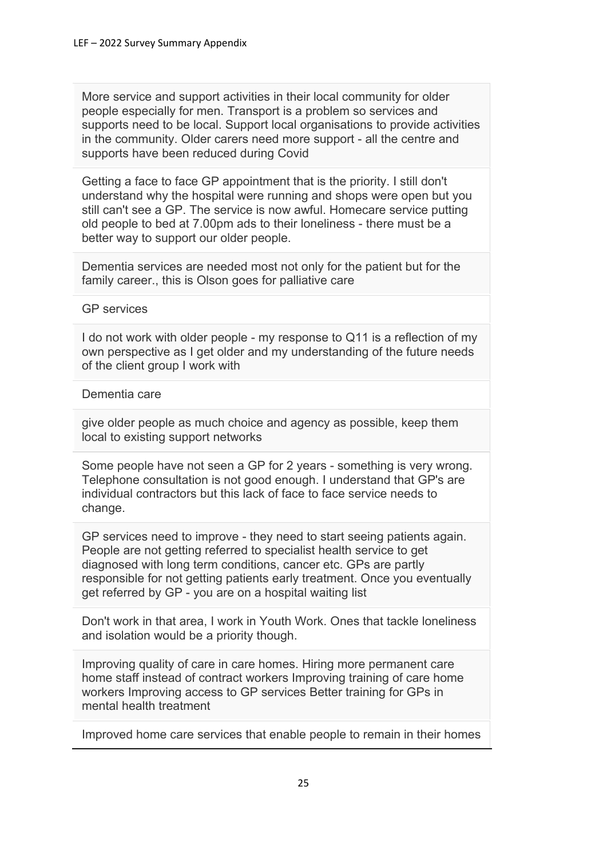More service and support activities in their local community for older people especially for men. Transport is a problem so services and supports need to be local. Support local organisations to provide activities in the community. Older carers need more support - all the centre and supports have been reduced during Covid

Getting a face to face GP appointment that is the priority. I still don't understand why the hospital were running and shops were open but you still can't see a GP. The service is now awful. Homecare service putting old people to bed at 7.00pm ads to their loneliness - there must be a better way to support our older people.

Dementia services are needed most not only for the patient but for the family career., this is Olson goes for palliative care

### GP services

I do not work with older people - my response to Q11 is a reflection of my own perspective as I get older and my understanding of the future needs of the client group I work with

#### Dementia care

give older people as much choice and agency as possible, keep them local to existing support networks

Some people have not seen a GP for 2 years - something is very wrong. Telephone consultation is not good enough. I understand that GP's are individual contractors but this lack of face to face service needs to change.

GP services need to improve - they need to start seeing patients again. People are not getting referred to specialist health service to get diagnosed with long term conditions, cancer etc. GPs are partly responsible for not getting patients early treatment. Once you eventually get referred by GP - you are on a hospital waiting list

Don't work in that area, I work in Youth Work. Ones that tackle loneliness and isolation would be a priority though.

Improving quality of care in care homes. Hiring more permanent care home staff instead of contract workers Improving training of care home workers Improving access to GP services Better training for GPs in mental health treatment

Improved home care services that enable people to remain in their homes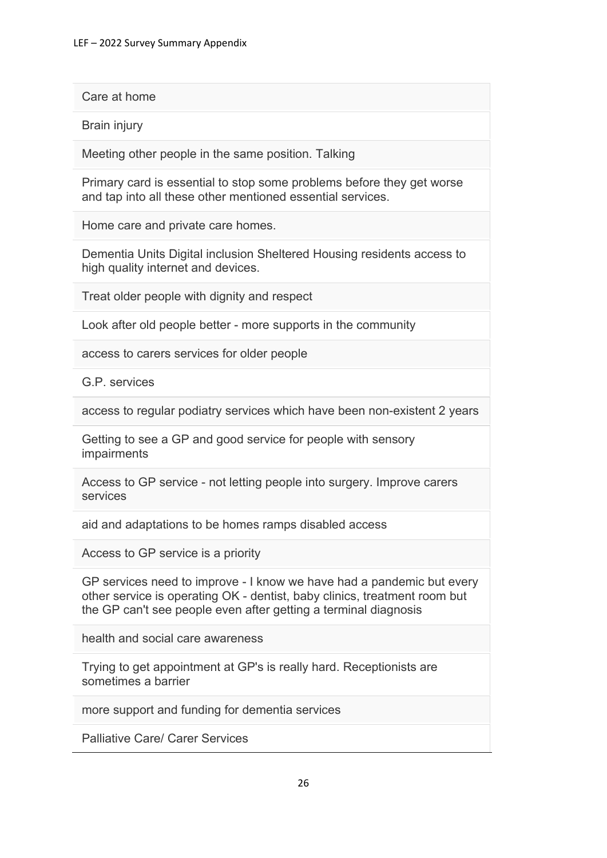Care at home

Brain injury

Meeting other people in the same position. Talking

Primary card is essential to stop some problems before they get worse and tap into all these other mentioned essential services.

Home care and private care homes.

Dementia Units Digital inclusion Sheltered Housing residents access to high quality internet and devices.

Treat older people with dignity and respect

Look after old people better - more supports in the community

access to carers services for older people

G.P. services

access to regular podiatry services which have been non-existent 2 years

Getting to see a GP and good service for people with sensory impairments

Access to GP service - not letting people into surgery. Improve carers services

aid and adaptations to be homes ramps disabled access

Access to GP service is a priority

GP services need to improve - I know we have had a pandemic but every other service is operating OK - dentist, baby clinics, treatment room but the GP can't see people even after getting a terminal diagnosis

health and social care awareness

Trying to get appointment at GP's is really hard. Receptionists are sometimes a barrier

more support and funding for dementia services

Palliative Care/ Carer Services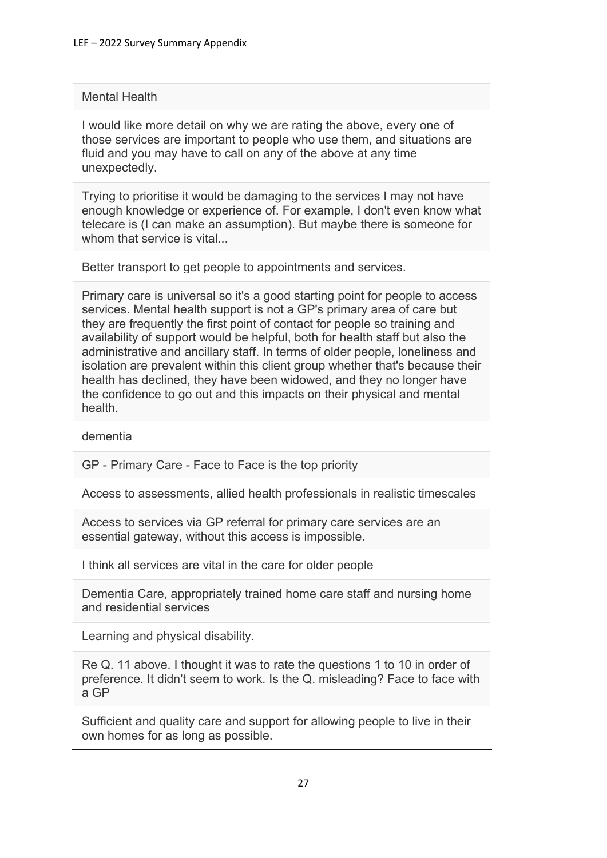### Mental Health

I would like more detail on why we are rating the above, every one of those services are important to people who use them, and situations are fluid and you may have to call on any of the above at any time unexpectedly.

Trying to prioritise it would be damaging to the services I may not have enough knowledge or experience of. For example, I don't even know what telecare is (I can make an assumption). But maybe there is someone for whom that service is vital...

Better transport to get people to appointments and services.

Primary care is universal so it's a good starting point for people to access services. Mental health support is not a GP's primary area of care but they are frequently the first point of contact for people so training and availability of support would be helpful, both for health staff but also the administrative and ancillary staff. In terms of older people, loneliness and isolation are prevalent within this client group whether that's because their health has declined, they have been widowed, and they no longer have the confidence to go out and this impacts on their physical and mental health.

dementia

GP - Primary Care - Face to Face is the top priority

Access to assessments, allied health professionals in realistic timescales

Access to services via GP referral for primary care services are an essential gateway, without this access is impossible.

I think all services are vital in the care for older people

Dementia Care, appropriately trained home care staff and nursing home and residential services

Learning and physical disability.

Re Q. 11 above. I thought it was to rate the questions 1 to 10 in order of preference. It didn't seem to work. Is the Q. misleading? Face to face with a GP

Sufficient and quality care and support for allowing people to live in their own homes for as long as possible.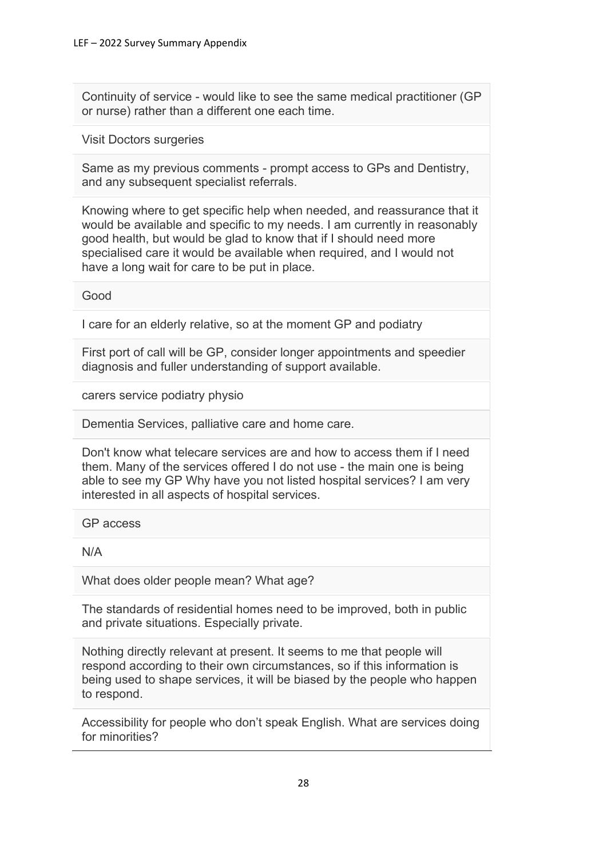Continuity of service - would like to see the same medical practitioner (GP or nurse) rather than a different one each time.

Visit Doctors surgeries

Same as my previous comments - prompt access to GPs and Dentistry, and any subsequent specialist referrals.

Knowing where to get specific help when needed, and reassurance that it would be available and specific to my needs. I am currently in reasonably good health, but would be glad to know that if I should need more specialised care it would be available when required, and I would not have a long wait for care to be put in place.

Good

I care for an elderly relative, so at the moment GP and podiatry

First port of call will be GP, consider longer appointments and speedier diagnosis and fuller understanding of support available.

carers service podiatry physio

Dementia Services, palliative care and home care.

Don't know what telecare services are and how to access them if I need them. Many of the services offered I do not use - the main one is being able to see my GP Why have you not listed hospital services? I am very interested in all aspects of hospital services.

GP access

N/A

What does older people mean? What age?

The standards of residential homes need to be improved, both in public and private situations. Especially private.

Nothing directly relevant at present. It seems to me that people will respond according to their own circumstances, so if this information is being used to shape services, it will be biased by the people who happen to respond.

Accessibility for people who don't speak English. What are services doing for minorities?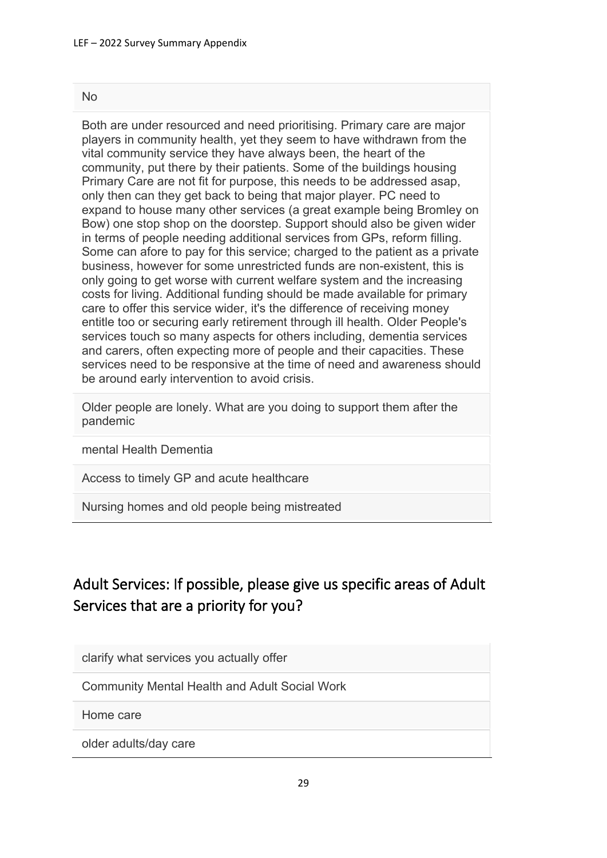#### No

Both are under resourced and need prioritising. Primary care are major players in community health, yet they seem to have withdrawn from the vital community service they have always been, the heart of the community, put there by their patients. Some of the buildings housing Primary Care are not fit for purpose, this needs to be addressed asap, only then can they get back to being that major player. PC need to expand to house many other services (a great example being Bromley on Bow) one stop shop on the doorstep. Support should also be given wider in terms of people needing additional services from GPs, reform filling. Some can afore to pay for this service; charged to the patient as a private business, however for some unrestricted funds are non-existent, this is only going to get worse with current welfare system and the increasing costs for living. Additional funding should be made available for primary care to offer this service wider, it's the difference of receiving money entitle too or securing early retirement through ill health. Older People's services touch so many aspects for others including, dementia services and carers, often expecting more of people and their capacities. These services need to be responsive at the time of need and awareness should be around early intervention to avoid crisis.

Older people are lonely. What are you doing to support them after the pandemic

mental Health Dementia

Access to timely GP and acute healthcare

Nursing homes and old people being mistreated

# Adult Services: If possible, please give us specific areas of Adult Services that are a priority for you?

clarify what services you actually offer

Community Mental Health and Adult Social Work

Home care

older adults/day care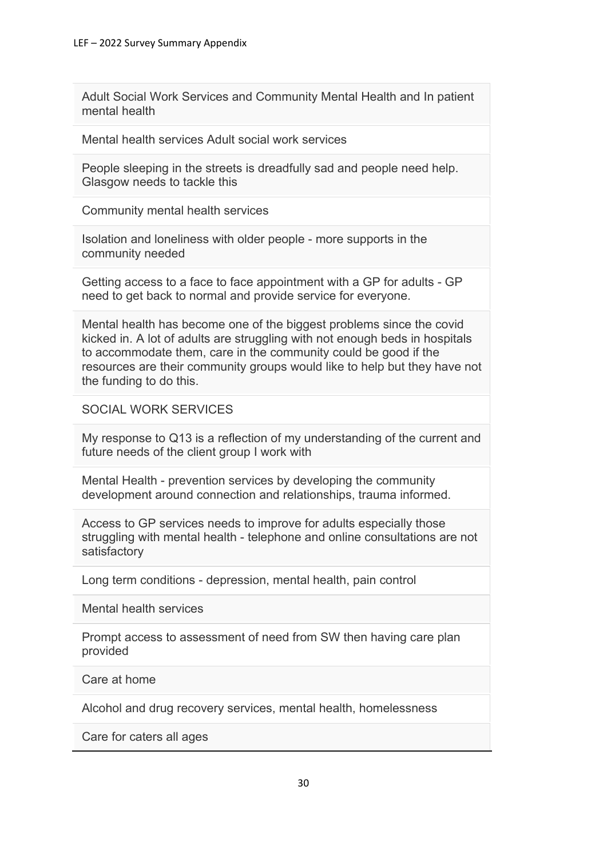Adult Social Work Services and Community Mental Health and In patient mental health

Mental health services Adult social work services

People sleeping in the streets is dreadfully sad and people need help. Glasgow needs to tackle this

Community mental health services

Isolation and loneliness with older people - more supports in the community needed

Getting access to a face to face appointment with a GP for adults - GP need to get back to normal and provide service for everyone.

Mental health has become one of the biggest problems since the covid kicked in. A lot of adults are struggling with not enough beds in hospitals to accommodate them, care in the community could be good if the resources are their community groups would like to help but they have not the funding to do this.

### SOCIAL WORK SERVICES

My response to Q13 is a reflection of my understanding of the current and future needs of the client group I work with

Mental Health - prevention services by developing the community development around connection and relationships, trauma informed.

Access to GP services needs to improve for adults especially those struggling with mental health - telephone and online consultations are not satisfactory

Long term conditions - depression, mental health, pain control

Mental health services

Prompt access to assessment of need from SW then having care plan provided

Care at home

Alcohol and drug recovery services, mental health, homelessness

Care for caters all ages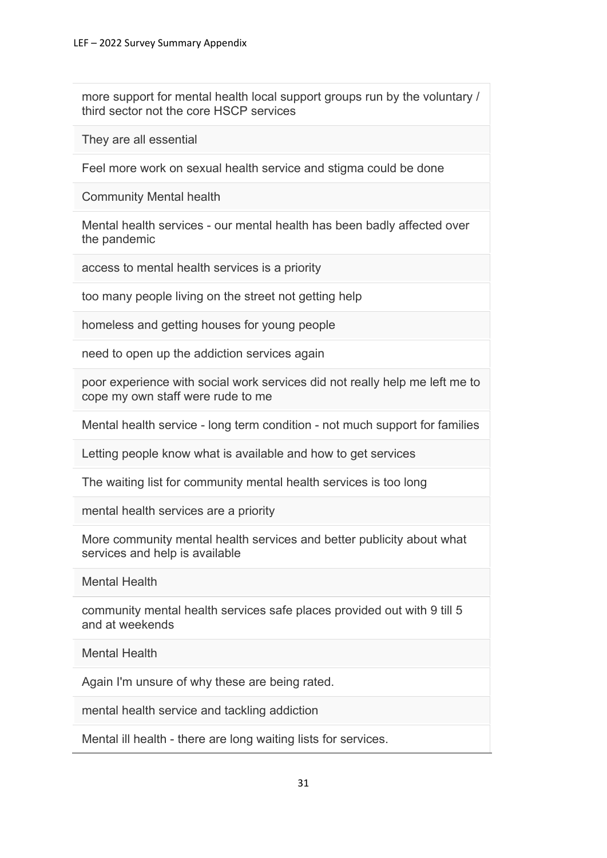more support for mental health local support groups run by the voluntary / third sector not the core HSCP services

They are all essential

Feel more work on sexual health service and stigma could be done

Community Mental health

Mental health services - our mental health has been badly affected over the pandemic

access to mental health services is a priority

too many people living on the street not getting help

homeless and getting houses for young people

need to open up the addiction services again

poor experience with social work services did not really help me left me to cope my own staff were rude to me

Mental health service - long term condition - not much support for families

Letting people know what is available and how to get services

The waiting list for community mental health services is too long

mental health services are a priority

More community mental health services and better publicity about what services and help is available

Mental Health

community mental health services safe places provided out with 9 till 5 and at weekends

Mental Health

Again I'm unsure of why these are being rated.

mental health service and tackling addiction

Mental ill health - there are long waiting lists for services.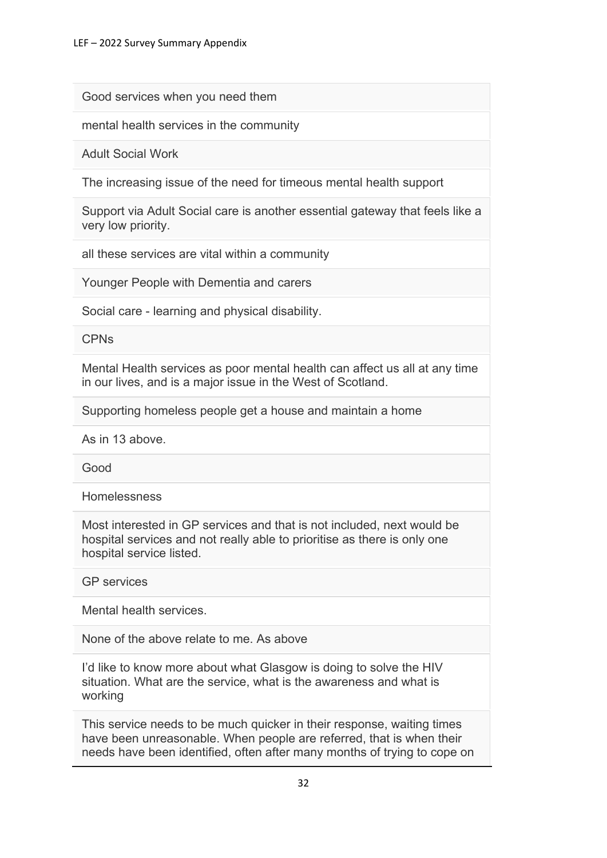Good services when you need them

mental health services in the community

Adult Social Work

The increasing issue of the need for timeous mental health support

Support via Adult Social care is another essential gateway that feels like a very low priority.

all these services are vital within a community

Younger People with Dementia and carers

Social care - learning and physical disability.

CPNs

Mental Health services as poor mental health can affect us all at any time in our lives, and is a major issue in the West of Scotland.

Supporting homeless people get a house and maintain a home

As in 13 above.

Good

Homelessness

Most interested in GP services and that is not included, next would be hospital services and not really able to prioritise as there is only one hospital service listed.

GP services

Mental health services.

None of the above relate to me. As above

I'd like to know more about what Glasgow is doing to solve the HIV situation. What are the service, what is the awareness and what is working

This service needs to be much quicker in their response, waiting times have been unreasonable. When people are referred, that is when their needs have been identified, often after many months of trying to cope on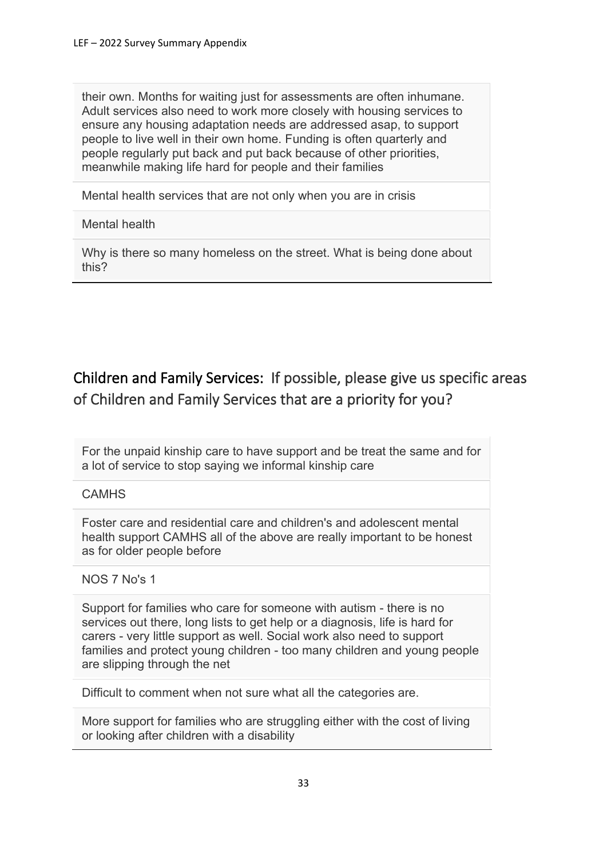their own. Months for waiting just for assessments are often inhumane. Adult services also need to work more closely with housing services to ensure any housing adaptation needs are addressed asap, to support people to live well in their own home. Funding is often quarterly and people regularly put back and put back because of other priorities, meanwhile making life hard for people and their families

Mental health services that are not only when you are in crisis

## Mental health

Why is there so many homeless on the street. What is being done about this?

# Children and Family Services: If possible, please give us specific areas of Children and Family Services that are a priority for you?

For the unpaid kinship care to have support and be treat the same and for a lot of service to stop saying we informal kinship care

# **CAMHS**

Foster care and residential care and children's and adolescent mental health support CAMHS all of the above are really important to be honest as for older people before

## NOS 7 No's 1

Support for families who care for someone with autism - there is no services out there, long lists to get help or a diagnosis, life is hard for carers - very little support as well. Social work also need to support families and protect young children - too many children and young people are slipping through the net

Difficult to comment when not sure what all the categories are.

More support for families who are struggling either with the cost of living or looking after children with a disability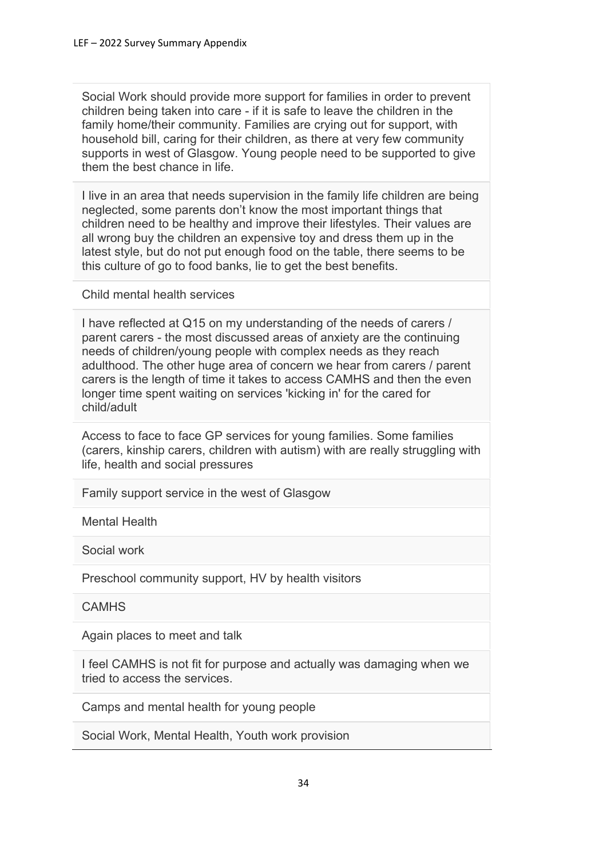Social Work should provide more support for families in order to prevent children being taken into care - if it is safe to leave the children in the family home/their community. Families are crying out for support, with household bill, caring for their children, as there at very few community supports in west of Glasgow. Young people need to be supported to give them the best chance in life.

I live in an area that needs supervision in the family life children are being neglected, some parents don't know the most important things that children need to be healthy and improve their lifestyles. Their values are all wrong buy the children an expensive toy and dress them up in the latest style, but do not put enough food on the table, there seems to be this culture of go to food banks, lie to get the best benefits.

Child mental health services

I have reflected at Q15 on my understanding of the needs of carers / parent carers - the most discussed areas of anxiety are the continuing needs of children/young people with complex needs as they reach adulthood. The other huge area of concern we hear from carers / parent carers is the length of time it takes to access CAMHS and then the even longer time spent waiting on services 'kicking in' for the cared for child/adult

Access to face to face GP services for young families. Some families (carers, kinship carers, children with autism) with are really struggling with life, health and social pressures

Family support service in the west of Glasgow

Mental Health

Social work

Preschool community support, HV by health visitors

**CAMHS** 

Again places to meet and talk

I feel CAMHS is not fit for purpose and actually was damaging when we tried to access the services.

Camps and mental health for young people

Social Work, Mental Health, Youth work provision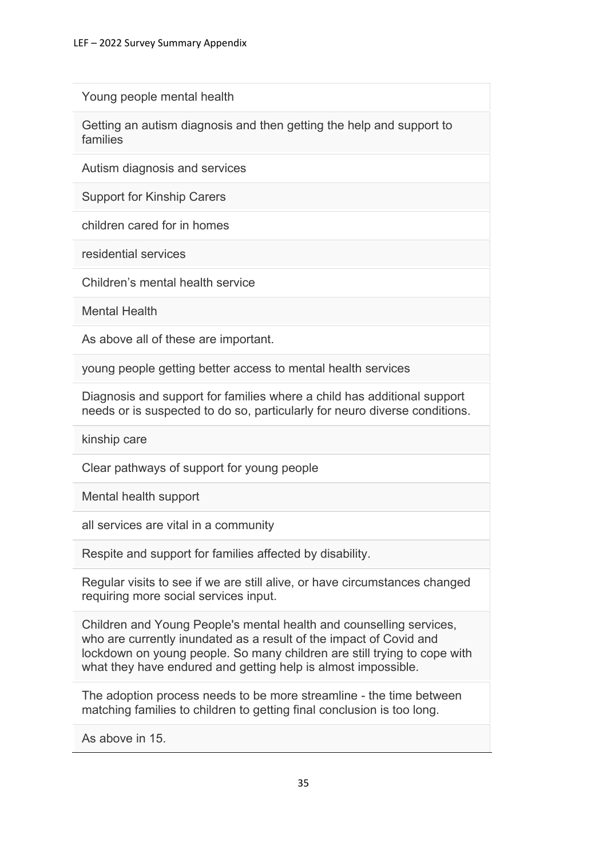Young people mental health

Getting an autism diagnosis and then getting the help and support to families

Autism diagnosis and services

Support for Kinship Carers

children cared for in homes

residential services

Children's mental health service

Mental Health

As above all of these are important.

young people getting better access to mental health services

Diagnosis and support for families where a child has additional support needs or is suspected to do so, particularly for neuro diverse conditions.

kinship care

Clear pathways of support for young people

Mental health support

all services are vital in a community

Respite and support for families affected by disability.

Regular visits to see if we are still alive, or have circumstances changed requiring more social services input.

Children and Young People's mental health and counselling services, who are currently inundated as a result of the impact of Covid and lockdown on young people. So many children are still trying to cope with what they have endured and getting help is almost impossible.

The adoption process needs to be more streamline - the time between matching families to children to getting final conclusion is too long.

As above in 15.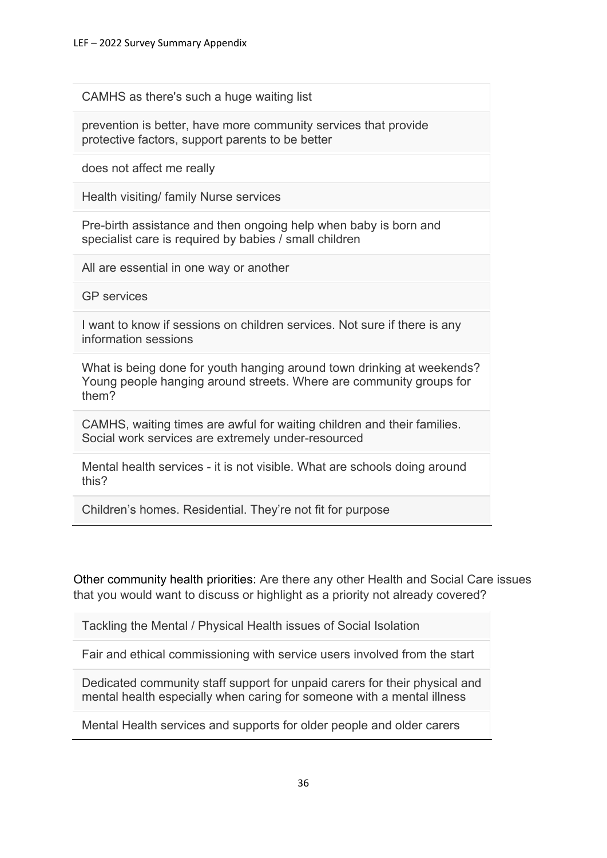CAMHS as there's such a huge waiting list

prevention is better, have more community services that provide protective factors, support parents to be better

does not affect me really

Health visiting/ family Nurse services

Pre-birth assistance and then ongoing help when baby is born and specialist care is required by babies / small children

All are essential in one way or another

GP services

I want to know if sessions on children services. Not sure if there is any information sessions

What is being done for youth hanging around town drinking at weekends? Young people hanging around streets. Where are community groups for them?

CAMHS, waiting times are awful for waiting children and their families. Social work services are extremely under-resourced

Mental health services - it is not visible. What are schools doing around this?

Children's homes. Residential. They're not fit for purpose

Other community health priorities: Are there any other Health and Social Care issues that you would want to discuss or highlight as a priority not already covered?

Tackling the Mental / Physical Health issues of Social Isolation

Fair and ethical commissioning with service users involved from the start

Dedicated community staff support for unpaid carers for their physical and mental health especially when caring for someone with a mental illness

Mental Health services and supports for older people and older carers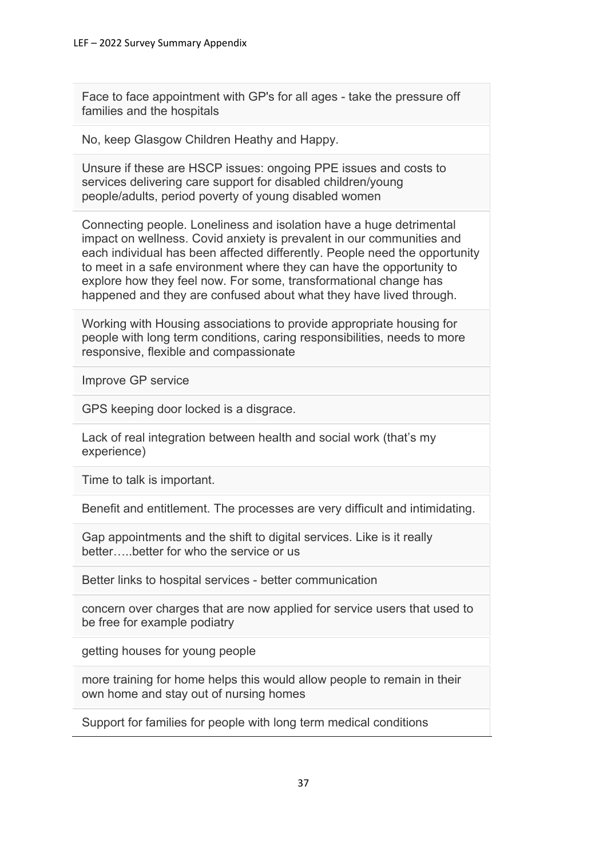Face to face appointment with GP's for all ages - take the pressure off families and the hospitals

No, keep Glasgow Children Heathy and Happy.

Unsure if these are HSCP issues: ongoing PPE issues and costs to services delivering care support for disabled children/young people/adults, period poverty of young disabled women

Connecting people. Loneliness and isolation have a huge detrimental impact on wellness. Covid anxiety is prevalent in our communities and each individual has been affected differently. People need the opportunity to meet in a safe environment where they can have the opportunity to explore how they feel now. For some, transformational change has happened and they are confused about what they have lived through.

Working with Housing associations to provide appropriate housing for people with long term conditions, caring responsibilities, needs to more responsive, flexible and compassionate

Improve GP service

GPS keeping door locked is a disgrace.

Lack of real integration between health and social work (that's my experience)

Time to talk is important.

Benefit and entitlement. The processes are very difficult and intimidating.

Gap appointments and the shift to digital services. Like is it really better…..better for who the service or us

Better links to hospital services - better communication

concern over charges that are now applied for service users that used to be free for example podiatry

getting houses for young people

more training for home helps this would allow people to remain in their own home and stay out of nursing homes

Support for families for people with long term medical conditions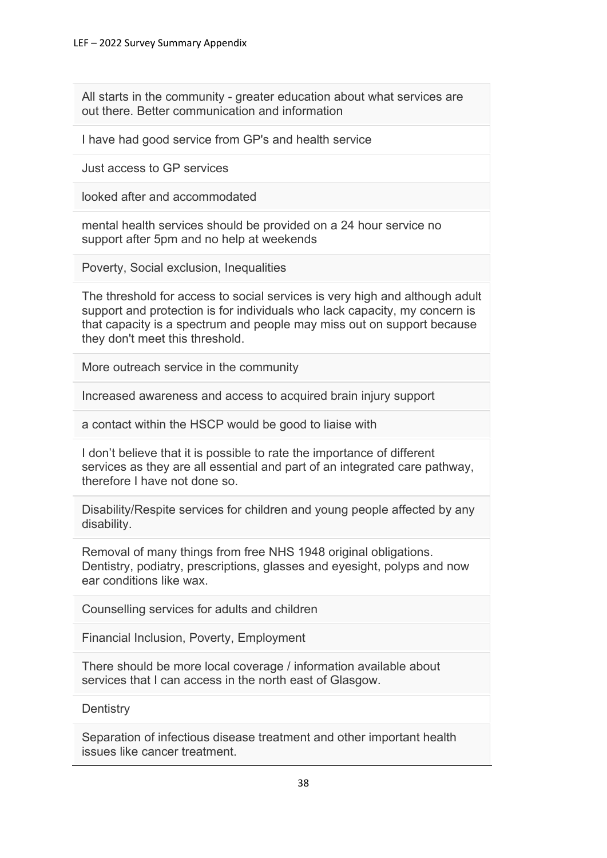All starts in the community - greater education about what services are out there. Better communication and information

I have had good service from GP's and health service

Just access to GP services

looked after and accommodated

mental health services should be provided on a 24 hour service no support after 5pm and no help at weekends

Poverty, Social exclusion, Inequalities

The threshold for access to social services is very high and although adult support and protection is for individuals who lack capacity, my concern is that capacity is a spectrum and people may miss out on support because they don't meet this threshold.

More outreach service in the community

Increased awareness and access to acquired brain injury support

a contact within the HSCP would be good to liaise with

I don't believe that it is possible to rate the importance of different services as they are all essential and part of an integrated care pathway, therefore I have not done so.

Disability/Respite services for children and young people affected by any disability.

Removal of many things from free NHS 1948 original obligations. Dentistry, podiatry, prescriptions, glasses and eyesight, polyps and now ear conditions like wax.

Counselling services for adults and children

Financial Inclusion, Poverty, Employment

There should be more local coverage / information available about services that I can access in the north east of Glasgow.

**Dentistry** 

Separation of infectious disease treatment and other important health issues like cancer treatment.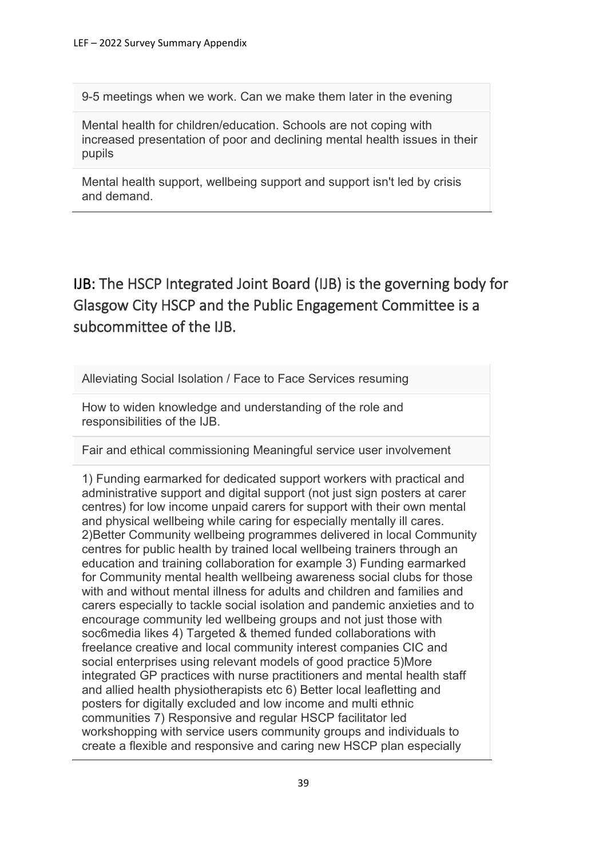9-5 meetings when we work. Can we make them later in the evening

Mental health for children/education. Schools are not coping with increased presentation of poor and declining mental health issues in their pupils

Mental health support, wellbeing support and support isn't led by crisis and demand.

IJB: The HSCP Integrated Joint Board (IJB) is the governing body for Glasgow City HSCP and the Public Engagement Committee is a subcommittee of the IJB.

Alleviating Social Isolation / Face to Face Services resuming

How to widen knowledge and understanding of the role and responsibilities of the IJB.

Fair and ethical commissioning Meaningful service user involvement

1) Funding earmarked for dedicated support workers with practical and administrative support and digital support (not just sign posters at carer centres) for low income unpaid carers for support with their own mental and physical wellbeing while caring for especially mentally ill cares. 2)Better Community wellbeing programmes delivered in local Community centres for public health by trained local wellbeing trainers through an education and training collaboration for example 3) Funding earmarked for Community mental health wellbeing awareness social clubs for those with and without mental illness for adults and children and families and carers especially to tackle social isolation and pandemic anxieties and to encourage community led wellbeing groups and not just those with soc6media likes 4) Targeted & themed funded collaborations with freelance creative and local community interest companies CIC and social enterprises using relevant models of good practice 5)More integrated GP practices with nurse practitioners and mental health staff and allied health physiotherapists etc 6) Better local leafletting and posters for digitally excluded and low income and multi ethnic communities 7) Responsive and regular HSCP facilitator led workshopping with service users community groups and individuals to create a flexible and responsive and caring new HSCP plan especially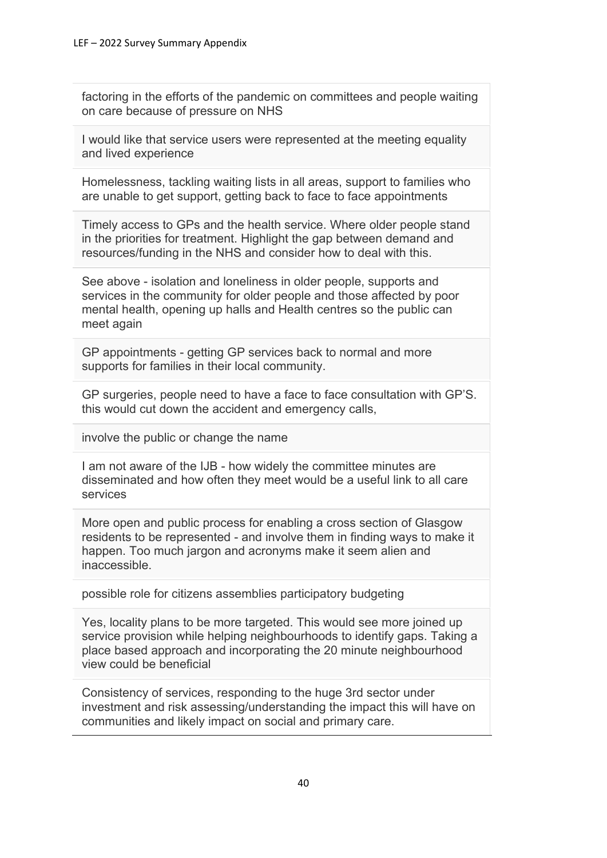factoring in the efforts of the pandemic on committees and people waiting on care because of pressure on NHS

I would like that service users were represented at the meeting equality and lived experience

Homelessness, tackling waiting lists in all areas, support to families who are unable to get support, getting back to face to face appointments

Timely access to GPs and the health service. Where older people stand in the priorities for treatment. Highlight the gap between demand and resources/funding in the NHS and consider how to deal with this.

See above - isolation and loneliness in older people, supports and services in the community for older people and those affected by poor mental health, opening up halls and Health centres so the public can meet again

GP appointments - getting GP services back to normal and more supports for families in their local community.

GP surgeries, people need to have a face to face consultation with GP'S. this would cut down the accident and emergency calls,

involve the public or change the name

I am not aware of the IJB - how widely the committee minutes are disseminated and how often they meet would be a useful link to all care services

More open and public process for enabling a cross section of Glasgow residents to be represented - and involve them in finding ways to make it happen. Too much jargon and acronyms make it seem alien and inaccessible.

possible role for citizens assemblies participatory budgeting

Yes, locality plans to be more targeted. This would see more joined up service provision while helping neighbourhoods to identify gaps. Taking a place based approach and incorporating the 20 minute neighbourhood view could be beneficial

Consistency of services, responding to the huge 3rd sector under investment and risk assessing/understanding the impact this will have on communities and likely impact on social and primary care.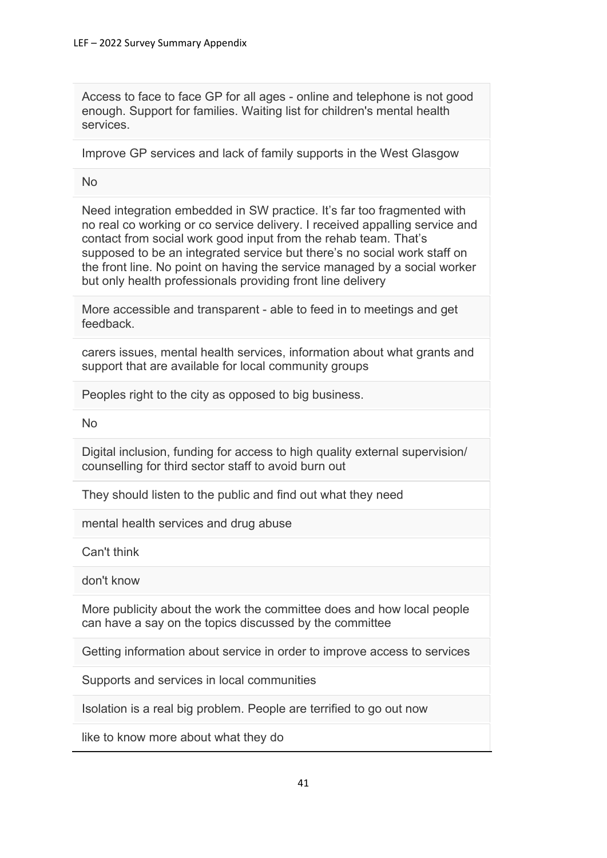Access to face to face GP for all ages - online and telephone is not good enough. Support for families. Waiting list for children's mental health services.

Improve GP services and lack of family supports in the West Glasgow

No

Need integration embedded in SW practice. It's far too fragmented with no real co working or co service delivery. I received appalling service and contact from social work good input from the rehab team. That's supposed to be an integrated service but there's no social work staff on the front line. No point on having the service managed by a social worker but only health professionals providing front line delivery

More accessible and transparent - able to feed in to meetings and get feedback.

carers issues, mental health services, information about what grants and support that are available for local community groups

Peoples right to the city as opposed to big business.

No

Digital inclusion, funding for access to high quality external supervision/ counselling for third sector staff to avoid burn out

They should listen to the public and find out what they need

mental health services and drug abuse

Can't think

don't know

More publicity about the work the committee does and how local people can have a say on the topics discussed by the committee

Getting information about service in order to improve access to services

Supports and services in local communities

Isolation is a real big problem. People are terrified to go out now

like to know more about what they do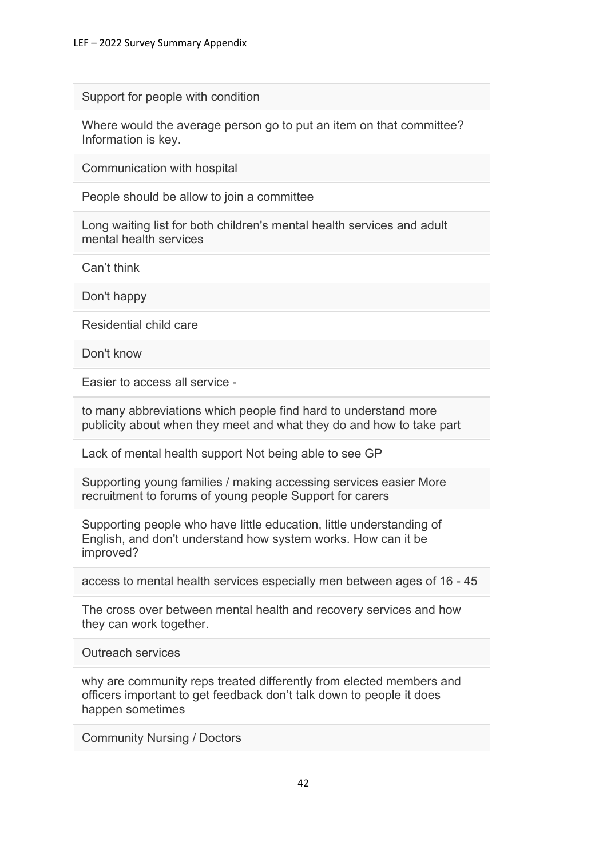Support for people with condition

Where would the average person go to put an item on that committee? Information is key.

Communication with hospital

People should be allow to join a committee

Long waiting list for both children's mental health services and adult mental health services

Can't think

Don't happy

Residential child care

Don't know

Easier to access all service -

to many abbreviations which people find hard to understand more publicity about when they meet and what they do and how to take part

Lack of mental health support Not being able to see GP

Supporting young families / making accessing services easier More recruitment to forums of young people Support for carers

Supporting people who have little education, little understanding of English, and don't understand how system works. How can it be improved?

access to mental health services especially men between ages of 16 - 45

The cross over between mental health and recovery services and how they can work together.

Outreach services

why are community reps treated differently from elected members and officers important to get feedback don't talk down to people it does happen sometimes

Community Nursing / Doctors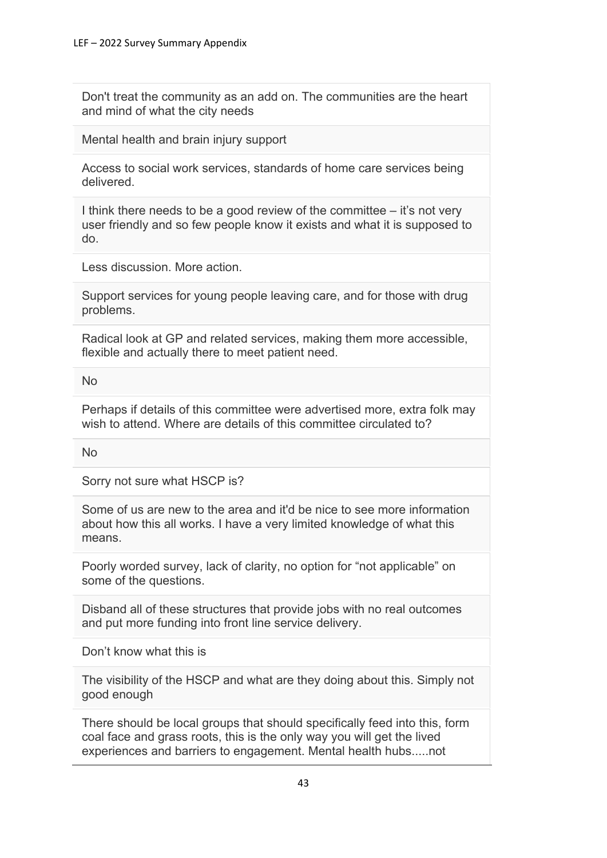Don't treat the community as an add on. The communities are the heart and mind of what the city needs

Mental health and brain injury support

Access to social work services, standards of home care services being delivered.

I think there needs to be a good review of the committee – it's not very user friendly and so few people know it exists and what it is supposed to do.

Less discussion. More action.

Support services for young people leaving care, and for those with drug problems.

Radical look at GP and related services, making them more accessible, flexible and actually there to meet patient need.

No

Perhaps if details of this committee were advertised more, extra folk may wish to attend. Where are details of this committee circulated to?

No

Sorry not sure what HSCP is?

Some of us are new to the area and it'd be nice to see more information about how this all works. I have a very limited knowledge of what this means.

Poorly worded survey, lack of clarity, no option for "not applicable" on some of the questions.

Disband all of these structures that provide jobs with no real outcomes and put more funding into front line service delivery.

Don't know what this is

The visibility of the HSCP and what are they doing about this. Simply not good enough

There should be local groups that should specifically feed into this, form coal face and grass roots, this is the only way you will get the lived experiences and barriers to engagement. Mental health hubs.....not